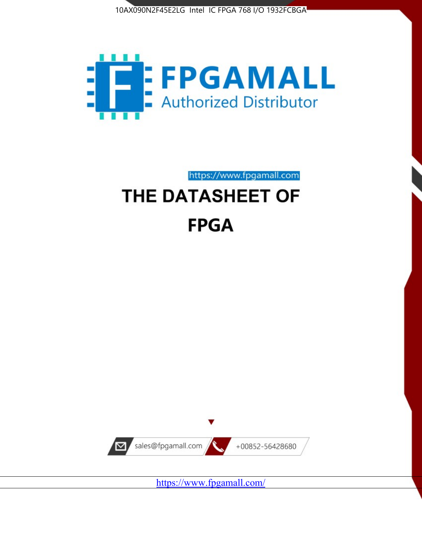



https://www.fpgamall.com

# THE DATASHEET OF **FPGA**



<https://www.fpgamall.com/>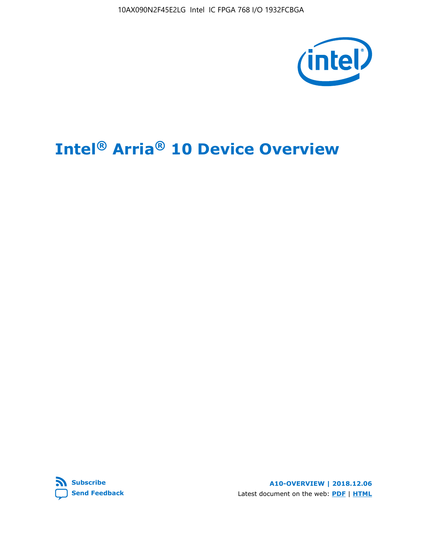10AX090N2F45E2LG Intel IC FPGA 768 I/O 1932FCBGA



# **Intel® Arria® 10 Device Overview**



**A10-OVERVIEW | 2018.12.06** Latest document on the web: **[PDF](https://www.intel.com/content/dam/www/programmable/us/en/pdfs/literature/hb/arria-10/a10_overview.pdf)** | **[HTML](https://www.intel.com/content/www/us/en/programmable/documentation/sam1403480274650.html)**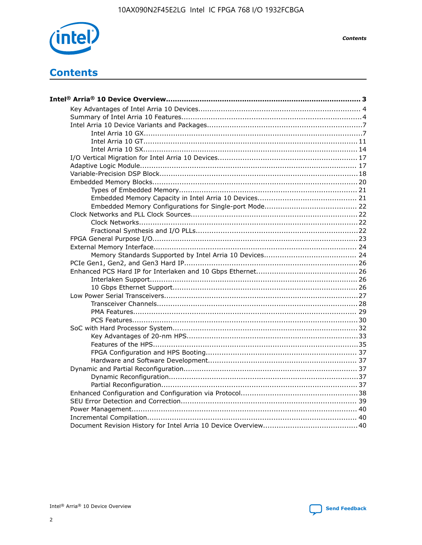

**Contents** 

## **Contents**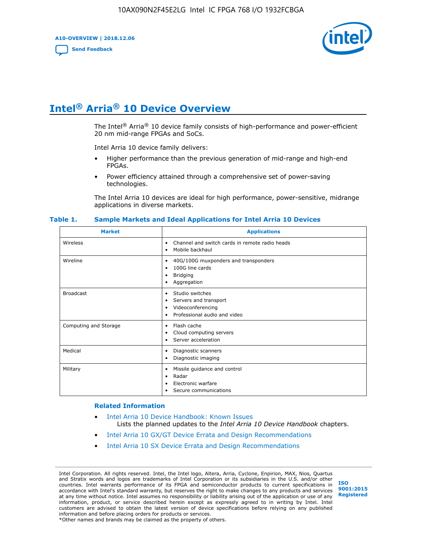**A10-OVERVIEW | 2018.12.06**

**[Send Feedback](mailto:FPGAtechdocfeedback@intel.com?subject=Feedback%20on%20Intel%20Arria%2010%20Device%20Overview%20(A10-OVERVIEW%202018.12.06)&body=We%20appreciate%20your%20feedback.%20In%20your%20comments,%20also%20specify%20the%20page%20number%20or%20paragraph.%20Thank%20you.)**



## **Intel® Arria® 10 Device Overview**

The Intel<sup>®</sup> Arria<sup>®</sup> 10 device family consists of high-performance and power-efficient 20 nm mid-range FPGAs and SoCs.

Intel Arria 10 device family delivers:

- Higher performance than the previous generation of mid-range and high-end FPGAs.
- Power efficiency attained through a comprehensive set of power-saving technologies.

The Intel Arria 10 devices are ideal for high performance, power-sensitive, midrange applications in diverse markets.

| <b>Market</b>         | <b>Applications</b>                                                                                               |
|-----------------------|-------------------------------------------------------------------------------------------------------------------|
| Wireless              | Channel and switch cards in remote radio heads<br>٠<br>Mobile backhaul<br>٠                                       |
| Wireline              | 40G/100G muxponders and transponders<br>٠<br>100G line cards<br>٠<br><b>Bridging</b><br>٠<br>Aggregation<br>٠     |
| <b>Broadcast</b>      | Studio switches<br>٠<br>Servers and transport<br>٠<br>Videoconferencing<br>٠<br>Professional audio and video<br>٠ |
| Computing and Storage | Flash cache<br>٠<br>Cloud computing servers<br>٠<br>Server acceleration<br>٠                                      |
| Medical               | Diagnostic scanners<br>٠<br>Diagnostic imaging<br>٠                                                               |
| Military              | Missile guidance and control<br>٠<br>Radar<br>٠<br>Electronic warfare<br>٠<br>Secure communications<br>٠          |

#### **Table 1. Sample Markets and Ideal Applications for Intel Arria 10 Devices**

#### **Related Information**

- [Intel Arria 10 Device Handbook: Known Issues](http://www.altera.com/support/kdb/solutions/rd07302013_646.html) Lists the planned updates to the *Intel Arria 10 Device Handbook* chapters.
- [Intel Arria 10 GX/GT Device Errata and Design Recommendations](https://www.intel.com/content/www/us/en/programmable/documentation/agz1493851706374.html#yqz1494433888646)
- [Intel Arria 10 SX Device Errata and Design Recommendations](https://www.intel.com/content/www/us/en/programmable/documentation/cru1462832385668.html#cru1462832558642)

Intel Corporation. All rights reserved. Intel, the Intel logo, Altera, Arria, Cyclone, Enpirion, MAX, Nios, Quartus and Stratix words and logos are trademarks of Intel Corporation or its subsidiaries in the U.S. and/or other countries. Intel warrants performance of its FPGA and semiconductor products to current specifications in accordance with Intel's standard warranty, but reserves the right to make changes to any products and services at any time without notice. Intel assumes no responsibility or liability arising out of the application or use of any information, product, or service described herein except as expressly agreed to in writing by Intel. Intel customers are advised to obtain the latest version of device specifications before relying on any published information and before placing orders for products or services. \*Other names and brands may be claimed as the property of others.

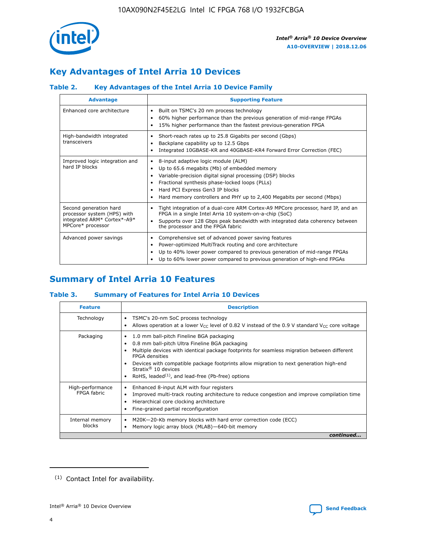

## **Key Advantages of Intel Arria 10 Devices**

## **Table 2. Key Advantages of the Intel Arria 10 Device Family**

| <b>Advantage</b>                                                                                          | <b>Supporting Feature</b>                                                                                                                                                                                                                                                                                                |  |  |  |  |  |
|-----------------------------------------------------------------------------------------------------------|--------------------------------------------------------------------------------------------------------------------------------------------------------------------------------------------------------------------------------------------------------------------------------------------------------------------------|--|--|--|--|--|
| Enhanced core architecture                                                                                | Built on TSMC's 20 nm process technology<br>٠<br>60% higher performance than the previous generation of mid-range FPGAs<br>٠<br>15% higher performance than the fastest previous-generation FPGA<br>٠                                                                                                                    |  |  |  |  |  |
| High-bandwidth integrated<br>transceivers                                                                 | Short-reach rates up to 25.8 Gigabits per second (Gbps)<br>٠<br>Backplane capability up to 12.5 Gbps<br>٠<br>Integrated 10GBASE-KR and 40GBASE-KR4 Forward Error Correction (FEC)<br>٠                                                                                                                                   |  |  |  |  |  |
| Improved logic integration and<br>hard IP blocks                                                          | 8-input adaptive logic module (ALM)<br>٠<br>Up to 65.6 megabits (Mb) of embedded memory<br>٠<br>Variable-precision digital signal processing (DSP) blocks<br>Fractional synthesis phase-locked loops (PLLs)<br>Hard PCI Express Gen3 IP blocks<br>Hard memory controllers and PHY up to 2,400 Megabits per second (Mbps) |  |  |  |  |  |
| Second generation hard<br>processor system (HPS) with<br>integrated ARM* Cortex*-A9*<br>MPCore* processor | Tight integration of a dual-core ARM Cortex-A9 MPCore processor, hard IP, and an<br>٠<br>FPGA in a single Intel Arria 10 system-on-a-chip (SoC)<br>Supports over 128 Gbps peak bandwidth with integrated data coherency between<br>$\bullet$<br>the processor and the FPGA fabric                                        |  |  |  |  |  |
| Advanced power savings                                                                                    | Comprehensive set of advanced power saving features<br>٠<br>Power-optimized MultiTrack routing and core architecture<br>٠<br>Up to 40% lower power compared to previous generation of mid-range FPGAs<br>Up to 60% lower power compared to previous generation of high-end FPGAs                                         |  |  |  |  |  |

## **Summary of Intel Arria 10 Features**

## **Table 3. Summary of Features for Intel Arria 10 Devices**

| <b>Feature</b>                  | <b>Description</b>                                                                                                                                                                                                                                                                                                                                                                                       |
|---------------------------------|----------------------------------------------------------------------------------------------------------------------------------------------------------------------------------------------------------------------------------------------------------------------------------------------------------------------------------------------------------------------------------------------------------|
| Technology                      | TSMC's 20-nm SoC process technology<br>٠<br>Allows operation at a lower $V_{\text{CC}}$ level of 0.82 V instead of the 0.9 V standard $V_{\text{CC}}$ core voltage                                                                                                                                                                                                                                       |
| Packaging                       | 1.0 mm ball-pitch Fineline BGA packaging<br>0.8 mm ball-pitch Ultra Fineline BGA packaging<br>Multiple devices with identical package footprints for seamless migration between different<br><b>FPGA</b> densities<br>Devices with compatible package footprints allow migration to next generation high-end<br>Stratix $\mathcal{R}$ 10 devices<br>RoHS, leaded $(1)$ , and lead-free (Pb-free) options |
| High-performance<br>FPGA fabric | Enhanced 8-input ALM with four registers<br>٠<br>Improved multi-track routing architecture to reduce congestion and improve compilation time<br>Hierarchical core clocking architecture<br>Fine-grained partial reconfiguration                                                                                                                                                                          |
| Internal memory<br>blocks       | M20K-20-Kb memory blocks with hard error correction code (ECC)<br>Memory logic array block (MLAB)-640-bit memory                                                                                                                                                                                                                                                                                         |
|                                 | continued                                                                                                                                                                                                                                                                                                                                                                                                |



<sup>(1)</sup> Contact Intel for availability.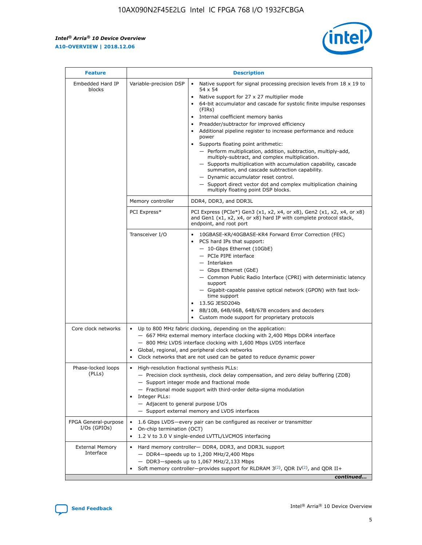$\mathsf{r}$ 



| <b>Feature</b>                         |                                                                                                                | <b>Description</b>                                                                                                                                                                                                                                                                                                                                                                                                                                                                                                                                                                                                                                                                                                                                                                                                                          |
|----------------------------------------|----------------------------------------------------------------------------------------------------------------|---------------------------------------------------------------------------------------------------------------------------------------------------------------------------------------------------------------------------------------------------------------------------------------------------------------------------------------------------------------------------------------------------------------------------------------------------------------------------------------------------------------------------------------------------------------------------------------------------------------------------------------------------------------------------------------------------------------------------------------------------------------------------------------------------------------------------------------------|
| Embedded Hard IP<br>blocks             | Variable-precision DSP                                                                                         | Native support for signal processing precision levels from $18 \times 19$ to<br>$\bullet$<br>54 x 54<br>Native support for 27 x 27 multiplier mode<br>64-bit accumulator and cascade for systolic finite impulse responses<br>(FIRs)<br>Internal coefficient memory banks<br>٠<br>Preadder/subtractor for improved efficiency<br>Additional pipeline register to increase performance and reduce<br>power<br>Supports floating point arithmetic:<br>- Perform multiplication, addition, subtraction, multiply-add,<br>multiply-subtract, and complex multiplication.<br>- Supports multiplication with accumulation capability, cascade<br>summation, and cascade subtraction capability.<br>- Dynamic accumulator reset control.<br>- Support direct vector dot and complex multiplication chaining<br>multiply floating point DSP blocks. |
|                                        | Memory controller                                                                                              | DDR4, DDR3, and DDR3L                                                                                                                                                                                                                                                                                                                                                                                                                                                                                                                                                                                                                                                                                                                                                                                                                       |
|                                        | PCI Express*                                                                                                   | PCI Express (PCIe*) Gen3 (x1, x2, x4, or x8), Gen2 (x1, x2, x4, or x8)<br>and Gen1 (x1, x2, x4, or x8) hard IP with complete protocol stack,<br>endpoint, and root port                                                                                                                                                                                                                                                                                                                                                                                                                                                                                                                                                                                                                                                                     |
|                                        | Transceiver I/O                                                                                                | 10GBASE-KR/40GBASE-KR4 Forward Error Correction (FEC)<br>PCS hard IPs that support:<br>- 10-Gbps Ethernet (10GbE)<br>- PCIe PIPE interface<br>- Interlaken<br>- Gbps Ethernet (GbE)<br>- Common Public Radio Interface (CPRI) with deterministic latency<br>support<br>- Gigabit-capable passive optical network (GPON) with fast lock-<br>time support<br>13.5G JESD204b<br>$\bullet$<br>8B/10B, 64B/66B, 64B/67B encoders and decoders<br>Custom mode support for proprietary protocols                                                                                                                                                                                                                                                                                                                                                   |
| Core clock networks                    | $\bullet$<br>$\bullet$                                                                                         | Up to 800 MHz fabric clocking, depending on the application:<br>- 667 MHz external memory interface clocking with 2,400 Mbps DDR4 interface<br>- 800 MHz LVDS interface clocking with 1,600 Mbps LVDS interface<br>Global, regional, and peripheral clock networks<br>Clock networks that are not used can be gated to reduce dynamic power                                                                                                                                                                                                                                                                                                                                                                                                                                                                                                 |
| Phase-locked loops<br>(PLLs)           | High-resolution fractional synthesis PLLs:<br>$\bullet$<br>Integer PLLs:<br>- Adjacent to general purpose I/Os | - Precision clock synthesis, clock delay compensation, and zero delay buffering (ZDB)<br>- Support integer mode and fractional mode<br>- Fractional mode support with third-order delta-sigma modulation<br>- Support external memory and LVDS interfaces                                                                                                                                                                                                                                                                                                                                                                                                                                                                                                                                                                                   |
| FPGA General-purpose<br>$I/Os$ (GPIOs) | On-chip termination (OCT)<br>$\bullet$                                                                         | 1.6 Gbps LVDS-every pair can be configured as receiver or transmitter<br>1.2 V to 3.0 V single-ended LVTTL/LVCMOS interfacing                                                                                                                                                                                                                                                                                                                                                                                                                                                                                                                                                                                                                                                                                                               |
| <b>External Memory</b><br>Interface    |                                                                                                                | Hard memory controller- DDR4, DDR3, and DDR3L support<br>$-$ DDR4 $-$ speeds up to 1,200 MHz/2,400 Mbps<br>- DDR3-speeds up to 1,067 MHz/2,133 Mbps<br>Soft memory controller—provides support for RLDRAM $3^{(2)}$ , QDR IV $(2^2)$ , and QDR II+<br>continued                                                                                                                                                                                                                                                                                                                                                                                                                                                                                                                                                                             |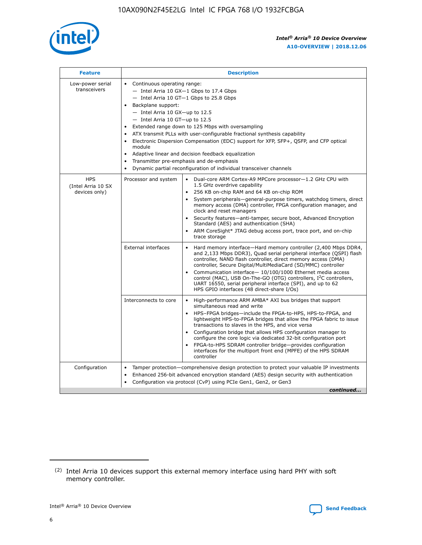

| <b>Feature</b>                                    | <b>Description</b>                                                                                                                                                                                                                                                                                                                                                                                                                                                                                                                                                                                                                         |
|---------------------------------------------------|--------------------------------------------------------------------------------------------------------------------------------------------------------------------------------------------------------------------------------------------------------------------------------------------------------------------------------------------------------------------------------------------------------------------------------------------------------------------------------------------------------------------------------------------------------------------------------------------------------------------------------------------|
| Low-power serial<br>transceivers                  | • Continuous operating range:<br>- Intel Arria 10 GX-1 Gbps to 17.4 Gbps<br>- Intel Arria 10 GT-1 Gbps to 25.8 Gbps<br>Backplane support:<br>$-$ Intel Arria 10 GX-up to 12.5<br>- Intel Arria 10 GT-up to 12.5<br>Extended range down to 125 Mbps with oversampling<br>ATX transmit PLLs with user-configurable fractional synthesis capability<br>Electronic Dispersion Compensation (EDC) support for XFP, SFP+, QSFP, and CFP optical<br>module<br>• Adaptive linear and decision feedback equalization<br>Transmitter pre-emphasis and de-emphasis<br>$\bullet$<br>Dynamic partial reconfiguration of individual transceiver channels |
| <b>HPS</b><br>(Intel Arria 10 SX<br>devices only) | Dual-core ARM Cortex-A9 MPCore processor-1.2 GHz CPU with<br>Processor and system<br>$\bullet$<br>1.5 GHz overdrive capability<br>256 KB on-chip RAM and 64 KB on-chip ROM<br>System peripherals-general-purpose timers, watchdog timers, direct<br>memory access (DMA) controller, FPGA configuration manager, and<br>clock and reset managers<br>Security features-anti-tamper, secure boot, Advanced Encryption<br>$\bullet$<br>Standard (AES) and authentication (SHA)<br>ARM CoreSight* JTAG debug access port, trace port, and on-chip<br>trace storage                                                                              |
|                                                   | <b>External interfaces</b><br>Hard memory interface-Hard memory controller (2,400 Mbps DDR4,<br>$\bullet$<br>and 2,133 Mbps DDR3), Quad serial peripheral interface (QSPI) flash<br>controller, NAND flash controller, direct memory access (DMA)<br>controller, Secure Digital/MultiMediaCard (SD/MMC) controller<br>Communication interface-10/100/1000 Ethernet media access<br>$\bullet$<br>control (MAC), USB On-The-GO (OTG) controllers, I <sup>2</sup> C controllers,<br>UART 16550, serial peripheral interface (SPI), and up to 62<br>HPS GPIO interfaces (48 direct-share I/Os)                                                 |
|                                                   | High-performance ARM AMBA* AXI bus bridges that support<br>Interconnects to core<br>$\bullet$<br>simultaneous read and write<br>HPS-FPGA bridges-include the FPGA-to-HPS, HPS-to-FPGA, and<br>$\bullet$<br>lightweight HPS-to-FPGA bridges that allow the FPGA fabric to issue<br>transactions to slaves in the HPS, and vice versa<br>Configuration bridge that allows HPS configuration manager to<br>configure the core logic via dedicated 32-bit configuration port<br>FPGA-to-HPS SDRAM controller bridge-provides configuration<br>interfaces for the multiport front end (MPFE) of the HPS SDRAM<br>controller                     |
| Configuration                                     | Tamper protection—comprehensive design protection to protect your valuable IP investments<br>Enhanced 256-bit advanced encryption standard (AES) design security with authentication<br>٠<br>Configuration via protocol (CvP) using PCIe Gen1, Gen2, or Gen3<br>continued                                                                                                                                                                                                                                                                                                                                                                  |

<sup>(2)</sup> Intel Arria 10 devices support this external memory interface using hard PHY with soft memory controller.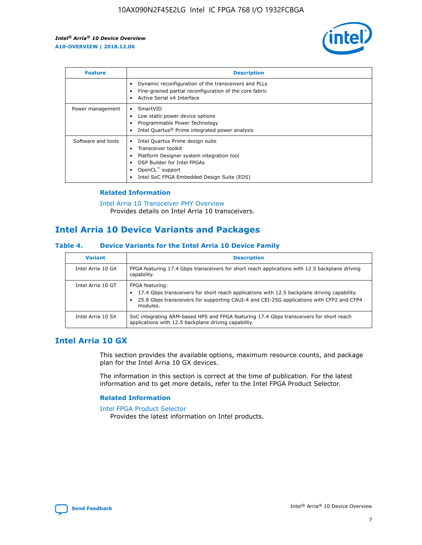

| <b>Feature</b>     | <b>Description</b>                                                                                                                                                                                                            |
|--------------------|-------------------------------------------------------------------------------------------------------------------------------------------------------------------------------------------------------------------------------|
|                    | Dynamic reconfiguration of the transceivers and PLLs<br>Fine-grained partial reconfiguration of the core fabric<br>Active Serial x4 Interface<br>$\bullet$                                                                    |
| Power management   | SmartVID<br>Low static power device options<br>Programmable Power Technology<br>Intel Quartus <sup>®</sup> Prime integrated power analysis                                                                                    |
| Software and tools | Intel Quartus Prime design suite<br>Transceiver toolkit<br>$\bullet$<br>Platform Designer system integration tool<br>DSP Builder for Intel FPGAs<br>OpenCL <sup>™</sup> support<br>Intel SoC FPGA Embedded Design Suite (EDS) |

## **Related Information**

#### [Intel Arria 10 Transceiver PHY Overview](https://www.intel.com/content/www/us/en/programmable/documentation/nik1398707230472.html#nik1398706768037) Provides details on Intel Arria 10 transceivers.

## **Intel Arria 10 Device Variants and Packages**

## **Table 4. Device Variants for the Intel Arria 10 Device Family**

| <b>Variant</b>    | <b>Description</b>                                                                                                                                                                                                     |
|-------------------|------------------------------------------------------------------------------------------------------------------------------------------------------------------------------------------------------------------------|
| Intel Arria 10 GX | FPGA featuring 17.4 Gbps transceivers for short reach applications with 12.5 backplane driving<br>capability.                                                                                                          |
| Intel Arria 10 GT | FPGA featuring:<br>17.4 Gbps transceivers for short reach applications with 12.5 backplane driving capability.<br>25.8 Gbps transceivers for supporting CAUI-4 and CEI-25G applications with CFP2 and CFP4<br>modules. |
| Intel Arria 10 SX | SoC integrating ARM-based HPS and FPGA featuring 17.4 Gbps transceivers for short reach<br>applications with 12.5 backplane driving capability.                                                                        |

## **Intel Arria 10 GX**

This section provides the available options, maximum resource counts, and package plan for the Intel Arria 10 GX devices.

The information in this section is correct at the time of publication. For the latest information and to get more details, refer to the Intel FPGA Product Selector.

## **Related Information**

#### [Intel FPGA Product Selector](http://www.altera.com/products/selector/psg-selector.html) Provides the latest information on Intel products.

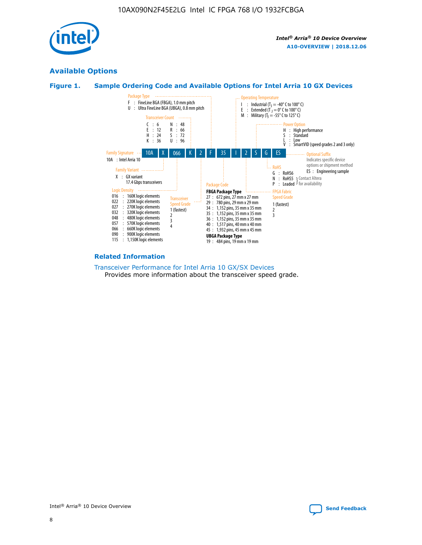

## **Available Options**





#### **Related Information**

[Transceiver Performance for Intel Arria 10 GX/SX Devices](https://www.intel.com/content/www/us/en/programmable/documentation/mcn1413182292568.html#mcn1413213965502) Provides more information about the transceiver speed grade.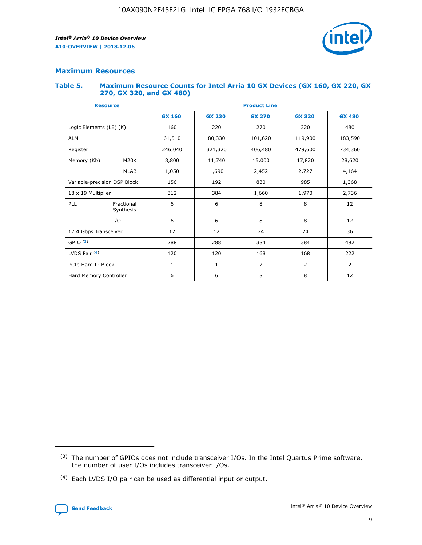

## **Maximum Resources**

#### **Table 5. Maximum Resource Counts for Intel Arria 10 GX Devices (GX 160, GX 220, GX 270, GX 320, and GX 480)**

| <b>Resource</b>              |                         | <b>Product Line</b> |                                |                  |                |                |  |  |  |
|------------------------------|-------------------------|---------------------|--------------------------------|------------------|----------------|----------------|--|--|--|
|                              |                         | <b>GX 160</b>       | <b>GX 220</b><br><b>GX 270</b> |                  | <b>GX 320</b>  | <b>GX 480</b>  |  |  |  |
| Logic Elements (LE) (K)      |                         | 160                 | 220                            | 270              | 320            | 480            |  |  |  |
| <b>ALM</b>                   |                         | 61,510              | 80,330                         | 101,620          | 119,900        | 183,590        |  |  |  |
| Register                     |                         | 246,040             | 321,320                        | 406,480          |                | 734,360        |  |  |  |
| Memory (Kb)                  | M <sub>20</sub> K       | 8,800               | 11,740                         | 15,000<br>17,820 |                | 28,620         |  |  |  |
| <b>MLAB</b>                  |                         | 1,050               | 1,690<br>2,452                 |                  | 2,727          | 4,164          |  |  |  |
| Variable-precision DSP Block |                         | 156                 | 192<br>830<br>985              |                  |                | 1,368          |  |  |  |
| 18 x 19 Multiplier           |                         | 312                 | 384                            | 1,970<br>1,660   |                | 2,736          |  |  |  |
| PLL                          | Fractional<br>Synthesis | 6                   | 6                              | 8                | 8              | 12             |  |  |  |
|                              | I/O                     | 6                   | 6                              | 8                | 8              | 12             |  |  |  |
| 17.4 Gbps Transceiver        |                         | 12                  | 12                             | 24               | 24             | 36             |  |  |  |
| GPIO <sup>(3)</sup>          |                         | 288                 | 288<br>384<br>384              |                  |                | 492            |  |  |  |
| LVDS Pair $(4)$              |                         | 120                 | 120                            | 168              | 168            | 222            |  |  |  |
| PCIe Hard IP Block           |                         | $\mathbf{1}$        | 1                              | $\overline{2}$   | $\overline{2}$ | $\overline{2}$ |  |  |  |
| Hard Memory Controller       |                         | 6                   | 6                              | 8                | 8              | 12             |  |  |  |

<sup>(4)</sup> Each LVDS I/O pair can be used as differential input or output.



<sup>(3)</sup> The number of GPIOs does not include transceiver I/Os. In the Intel Quartus Prime software, the number of user I/Os includes transceiver I/Os.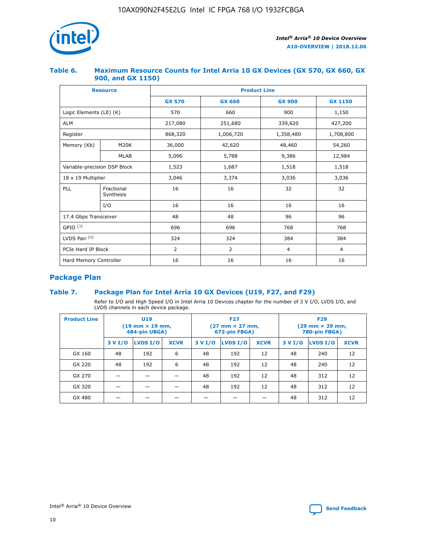

## **Table 6. Maximum Resource Counts for Intel Arria 10 GX Devices (GX 570, GX 660, GX 900, and GX 1150)**

|                              | <b>Resource</b>         | <b>Product Line</b> |                |                |                |  |  |  |
|------------------------------|-------------------------|---------------------|----------------|----------------|----------------|--|--|--|
|                              |                         | <b>GX 570</b>       | <b>GX 660</b>  | <b>GX 900</b>  | <b>GX 1150</b> |  |  |  |
| Logic Elements (LE) (K)      |                         | 570                 | 660            | 900            | 1,150          |  |  |  |
| <b>ALM</b>                   |                         | 217,080             | 251,680        | 339,620        | 427,200        |  |  |  |
| Register                     |                         | 868,320             | 1,006,720      | 1,358,480      | 1,708,800      |  |  |  |
| Memory (Kb)                  | <b>M20K</b>             | 36,000              | 42,620         | 48,460         | 54,260         |  |  |  |
|                              | <b>MLAB</b>             | 5,096               | 5,788          | 9,386          | 12,984         |  |  |  |
| Variable-precision DSP Block |                         | 1,523               | 1,687          | 1,518          | 1,518          |  |  |  |
| 18 x 19 Multiplier           |                         | 3,046               | 3,374          | 3,036          | 3,036          |  |  |  |
| PLL                          | Fractional<br>Synthesis | 16                  | 16             | 32             | 32             |  |  |  |
|                              | I/O                     | 16                  | 16             | 16             | 16             |  |  |  |
| 17.4 Gbps Transceiver        |                         | 48                  | 48             | 96             | 96             |  |  |  |
| GPIO <sup>(3)</sup>          |                         | 696                 | 696            | 768            | 768            |  |  |  |
| LVDS Pair $(4)$              |                         | 324                 | 324            | 384            | 384            |  |  |  |
| PCIe Hard IP Block           |                         | 2                   | $\overline{2}$ | $\overline{4}$ | $\overline{4}$ |  |  |  |
| Hard Memory Controller       |                         | 16                  | 16             | 16             | 16             |  |  |  |

## **Package Plan**

## **Table 7. Package Plan for Intel Arria 10 GX Devices (U19, F27, and F29)**

Refer to I/O and High Speed I/O in Intel Arria 10 Devices chapter for the number of 3 V I/O, LVDS I/O, and LVDS channels in each device package.

| <b>Product Line</b> | U <sub>19</sub><br>$(19 \text{ mm} \times 19 \text{ mm})$<br>484-pin UBGA) |          |             |         | <b>F27</b><br>(27 mm × 27 mm,<br>672-pin FBGA) |             | <b>F29</b><br>(29 mm × 29 mm,<br>780-pin FBGA) |          |             |  |
|---------------------|----------------------------------------------------------------------------|----------|-------------|---------|------------------------------------------------|-------------|------------------------------------------------|----------|-------------|--|
|                     | 3 V I/O                                                                    | LVDS I/O | <b>XCVR</b> | 3 V I/O | <b>LVDS I/O</b>                                | <b>XCVR</b> | 3 V I/O                                        | LVDS I/O | <b>XCVR</b> |  |
| GX 160              | 48                                                                         | 192      | 6           | 48      | 192                                            | 12          | 48                                             | 240      | 12          |  |
| GX 220              | 48                                                                         | 192      | 6           | 48      | 192                                            | 12          | 48                                             | 240      | 12          |  |
| GX 270              |                                                                            |          |             | 48      | 192                                            | 12          | 48                                             | 312      | 12          |  |
| GX 320              |                                                                            |          |             | 48      | 192                                            | 12          | 48                                             | 312      | 12          |  |
| GX 480              |                                                                            |          |             |         |                                                |             | 48                                             | 312      | 12          |  |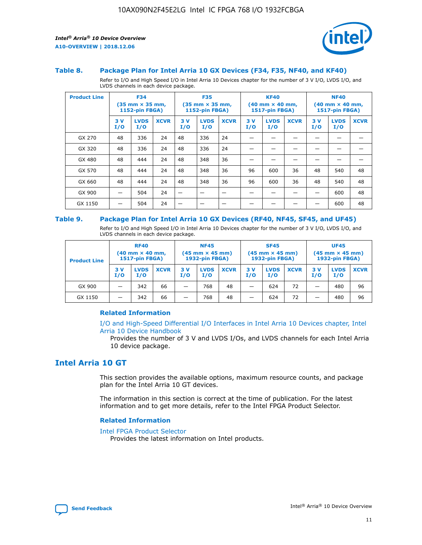

#### **Table 8. Package Plan for Intel Arria 10 GX Devices (F34, F35, NF40, and KF40)**

Refer to I/O and High Speed I/O in Intel Arria 10 Devices chapter for the number of 3 V I/O, LVDS I/O, and LVDS channels in each device package.

| <b>Product Line</b> | <b>F34</b><br>$(35 \text{ mm} \times 35 \text{ mm})$<br>1152-pin FBGA) |                    | <b>F35</b><br>$(35 \text{ mm} \times 35 \text{ mm})$<br><b>1152-pin FBGA)</b> |           | <b>KF40</b><br>$(40$ mm $\times$ 40 mm,<br>1517-pin FBGA) |             |           | <b>NF40</b><br>$(40$ mm $\times$ 40 mm,<br><b>1517-pin FBGA)</b> |             |            |                    |             |
|---------------------|------------------------------------------------------------------------|--------------------|-------------------------------------------------------------------------------|-----------|-----------------------------------------------------------|-------------|-----------|------------------------------------------------------------------|-------------|------------|--------------------|-------------|
|                     | 3V<br>I/O                                                              | <b>LVDS</b><br>I/O | <b>XCVR</b>                                                                   | 3V<br>I/O | <b>LVDS</b><br>I/O                                        | <b>XCVR</b> | 3V<br>I/O | <b>LVDS</b><br>I/O                                               | <b>XCVR</b> | 3 V<br>I/O | <b>LVDS</b><br>I/O | <b>XCVR</b> |
| GX 270              | 48                                                                     | 336                | 24                                                                            | 48        | 336                                                       | 24          |           |                                                                  |             |            |                    |             |
| GX 320              | 48                                                                     | 336                | 24                                                                            | 48        | 336                                                       | 24          |           |                                                                  |             |            |                    |             |
| GX 480              | 48                                                                     | 444                | 24                                                                            | 48        | 348                                                       | 36          |           |                                                                  |             |            |                    |             |
| GX 570              | 48                                                                     | 444                | 24                                                                            | 48        | 348                                                       | 36          | 96        | 600                                                              | 36          | 48         | 540                | 48          |
| GX 660              | 48                                                                     | 444                | 24                                                                            | 48        | 348                                                       | 36          | 96        | 600                                                              | 36          | 48         | 540                | 48          |
| GX 900              |                                                                        | 504                | 24                                                                            | -         |                                                           |             |           |                                                                  |             |            | 600                | 48          |
| GX 1150             |                                                                        | 504                | 24                                                                            |           |                                                           |             |           |                                                                  |             |            | 600                | 48          |

#### **Table 9. Package Plan for Intel Arria 10 GX Devices (RF40, NF45, SF45, and UF45)**

Refer to I/O and High Speed I/O in Intel Arria 10 Devices chapter for the number of 3 V I/O, LVDS I/O, and LVDS channels in each device package.

| <b>Product Line</b> | <b>RF40</b><br>$(40$ mm $\times$ 40 mm,<br>1517-pin FBGA) |                    |             | <b>NF45</b><br>$(45 \text{ mm} \times 45 \text{ mm})$<br><b>1932-pin FBGA)</b> |                    |             | <b>SF45</b><br>$(45 \text{ mm} \times 45 \text{ mm})$<br><b>1932-pin FBGA)</b> |                    |             | <b>UF45</b><br>$(45 \text{ mm} \times 45 \text{ mm})$<br><b>1932-pin FBGA)</b> |                    |             |
|---------------------|-----------------------------------------------------------|--------------------|-------------|--------------------------------------------------------------------------------|--------------------|-------------|--------------------------------------------------------------------------------|--------------------|-------------|--------------------------------------------------------------------------------|--------------------|-------------|
|                     | 3V<br>I/O                                                 | <b>LVDS</b><br>I/O | <b>XCVR</b> | 3 V<br>I/O                                                                     | <b>LVDS</b><br>I/O | <b>XCVR</b> | 3 V<br>I/O                                                                     | <b>LVDS</b><br>I/O | <b>XCVR</b> | 3V<br>I/O                                                                      | <b>LVDS</b><br>I/O | <b>XCVR</b> |
| GX 900              |                                                           | 342                | 66          | _                                                                              | 768                | 48          |                                                                                | 624                | 72          |                                                                                | 480                | 96          |
| GX 1150             |                                                           | 342                | 66          | _                                                                              | 768                | 48          |                                                                                | 624                | 72          |                                                                                | 480                | 96          |

## **Related Information**

[I/O and High-Speed Differential I/O Interfaces in Intel Arria 10 Devices chapter, Intel](https://www.intel.com/content/www/us/en/programmable/documentation/sam1403482614086.html#sam1403482030321) [Arria 10 Device Handbook](https://www.intel.com/content/www/us/en/programmable/documentation/sam1403482614086.html#sam1403482030321)

Provides the number of 3 V and LVDS I/Os, and LVDS channels for each Intel Arria 10 device package.

## **Intel Arria 10 GT**

This section provides the available options, maximum resource counts, and package plan for the Intel Arria 10 GT devices.

The information in this section is correct at the time of publication. For the latest information and to get more details, refer to the Intel FPGA Product Selector.

#### **Related Information**

#### [Intel FPGA Product Selector](http://www.altera.com/products/selector/psg-selector.html)

Provides the latest information on Intel products.

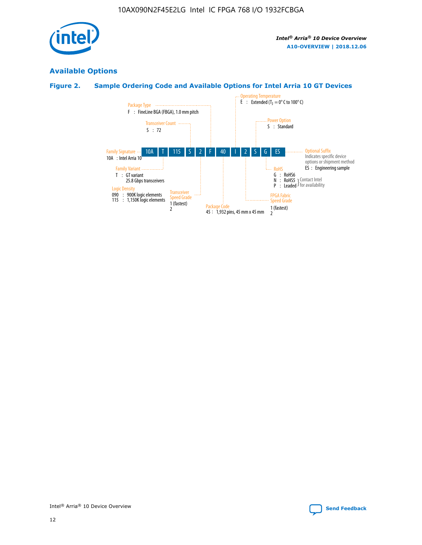

## **Available Options**

## **Figure 2. Sample Ordering Code and Available Options for Intel Arria 10 GT Devices**

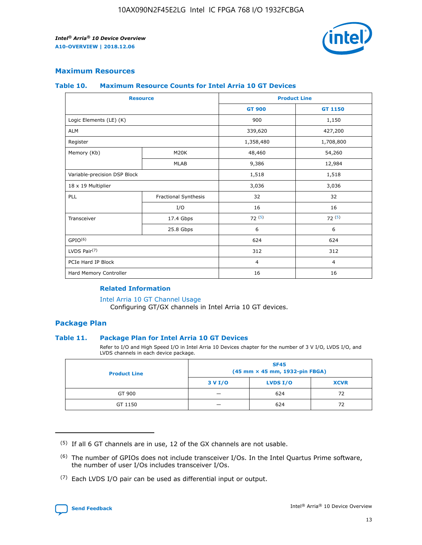

## **Maximum Resources**

#### **Table 10. Maximum Resource Counts for Intel Arria 10 GT Devices**

| <b>Resource</b>              |                      |                | <b>Product Line</b> |  |
|------------------------------|----------------------|----------------|---------------------|--|
|                              |                      | <b>GT 900</b>  | <b>GT 1150</b>      |  |
| Logic Elements (LE) (K)      |                      | 900            | 1,150               |  |
| <b>ALM</b>                   |                      | 339,620        | 427,200             |  |
| Register                     |                      | 1,358,480      | 1,708,800           |  |
| Memory (Kb)                  | M20K                 | 48,460         | 54,260              |  |
|                              | <b>MLAB</b>          | 9,386          | 12,984              |  |
| Variable-precision DSP Block |                      | 1,518          | 1,518               |  |
| 18 x 19 Multiplier           |                      | 3,036          | 3,036               |  |
| <b>PLL</b>                   | Fractional Synthesis | 32             | 32                  |  |
|                              | I/O                  | 16             | 16                  |  |
| Transceiver                  | 17.4 Gbps            | 72(5)          | 72(5)               |  |
|                              | 25.8 Gbps            | 6              | 6                   |  |
| GPIO <sup>(6)</sup>          |                      | 624            | 624                 |  |
| LVDS Pair $(7)$              |                      | 312            | 312                 |  |
| PCIe Hard IP Block           |                      | $\overline{4}$ | $\overline{4}$      |  |
| Hard Memory Controller       |                      | 16             | 16                  |  |

## **Related Information**

#### [Intel Arria 10 GT Channel Usage](https://www.intel.com/content/www/us/en/programmable/documentation/nik1398707230472.html#nik1398707008178)

Configuring GT/GX channels in Intel Arria 10 GT devices.

## **Package Plan**

## **Table 11. Package Plan for Intel Arria 10 GT Devices**

Refer to I/O and High Speed I/O in Intel Arria 10 Devices chapter for the number of 3 V I/O, LVDS I/O, and LVDS channels in each device package.

| <b>Product Line</b> | <b>SF45</b><br>(45 mm × 45 mm, 1932-pin FBGA) |                 |             |  |  |  |
|---------------------|-----------------------------------------------|-----------------|-------------|--|--|--|
|                     | 3 V I/O                                       | <b>LVDS I/O</b> | <b>XCVR</b> |  |  |  |
| GT 900              |                                               | 624             | 72          |  |  |  |
| GT 1150             |                                               | 624             | 72          |  |  |  |

<sup>(7)</sup> Each LVDS I/O pair can be used as differential input or output.



 $(5)$  If all 6 GT channels are in use, 12 of the GX channels are not usable.

<sup>(6)</sup> The number of GPIOs does not include transceiver I/Os. In the Intel Quartus Prime software, the number of user I/Os includes transceiver I/Os.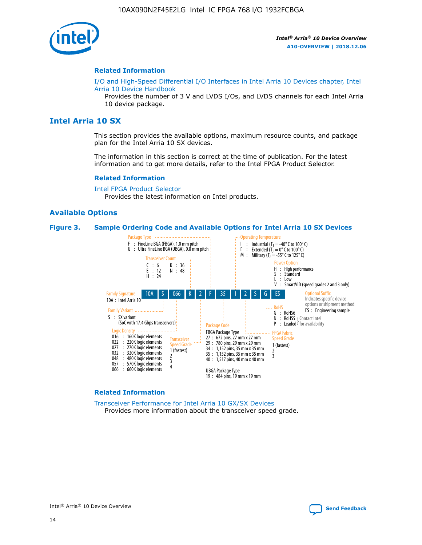

#### **Related Information**

[I/O and High-Speed Differential I/O Interfaces in Intel Arria 10 Devices chapter, Intel](https://www.intel.com/content/www/us/en/programmable/documentation/sam1403482614086.html#sam1403482030321) [Arria 10 Device Handbook](https://www.intel.com/content/www/us/en/programmable/documentation/sam1403482614086.html#sam1403482030321)

Provides the number of 3 V and LVDS I/Os, and LVDS channels for each Intel Arria 10 device package.

## **Intel Arria 10 SX**

This section provides the available options, maximum resource counts, and package plan for the Intel Arria 10 SX devices.

The information in this section is correct at the time of publication. For the latest information and to get more details, refer to the Intel FPGA Product Selector.

#### **Related Information**

[Intel FPGA Product Selector](http://www.altera.com/products/selector/psg-selector.html) Provides the latest information on Intel products.

## **Available Options**

#### **Figure 3. Sample Ordering Code and Available Options for Intel Arria 10 SX Devices**



#### **Related Information**

[Transceiver Performance for Intel Arria 10 GX/SX Devices](https://www.intel.com/content/www/us/en/programmable/documentation/mcn1413182292568.html#mcn1413213965502) Provides more information about the transceiver speed grade.

Intel® Arria® 10 Device Overview **[Send Feedback](mailto:FPGAtechdocfeedback@intel.com?subject=Feedback%20on%20Intel%20Arria%2010%20Device%20Overview%20(A10-OVERVIEW%202018.12.06)&body=We%20appreciate%20your%20feedback.%20In%20your%20comments,%20also%20specify%20the%20page%20number%20or%20paragraph.%20Thank%20you.)**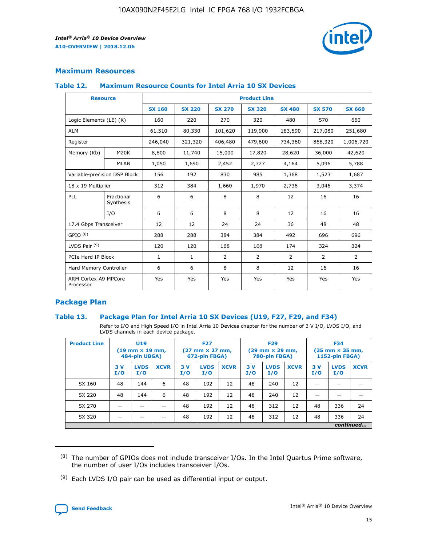

## **Maximum Resources**

## **Table 12. Maximum Resource Counts for Intel Arria 10 SX Devices**

|                                   | <b>Resource</b>         | <b>Product Line</b> |               |                |                |                |                |                |  |  |  |
|-----------------------------------|-------------------------|---------------------|---------------|----------------|----------------|----------------|----------------|----------------|--|--|--|
|                                   |                         | <b>SX 160</b>       | <b>SX 220</b> | <b>SX 270</b>  | <b>SX 320</b>  | <b>SX 480</b>  | <b>SX 570</b>  | <b>SX 660</b>  |  |  |  |
| Logic Elements (LE) (K)           |                         | 160                 | 220           | 270            | 320            | 480            | 570            | 660            |  |  |  |
| <b>ALM</b>                        |                         | 61,510              | 80,330        | 101,620        | 119,900        | 183,590        | 217,080        | 251,680        |  |  |  |
| Register                          |                         | 246,040             | 321,320       | 406,480        | 479,600        | 734,360        | 868,320        | 1,006,720      |  |  |  |
| Memory (Kb)                       | <b>M20K</b>             | 8,800               | 11,740        | 15,000         | 17,820         | 28,620         | 36,000         | 42,620         |  |  |  |
|                                   | <b>MLAB</b>             | 1,050               | 1,690         | 2,452          | 2,727          | 4,164          | 5,096          | 5,788          |  |  |  |
| Variable-precision DSP Block      |                         | 156                 | 192           | 830            | 985            | 1,368          | 1,523          | 1,687          |  |  |  |
| 18 x 19 Multiplier                |                         | 312                 | 384           | 1,660          | 1,970          | 2,736          | 3,046          | 3,374          |  |  |  |
| <b>PLL</b>                        | Fractional<br>Synthesis | 6                   | 6             | 8              | 8              | 12             | 16             | 16             |  |  |  |
|                                   | I/O                     | 6                   | 6             | 8              | 8              | 12             | 16             | 16             |  |  |  |
| 17.4 Gbps Transceiver             |                         | 12                  | 12            | 24             | 24             | 36             | 48             | 48             |  |  |  |
| GPIO <sup>(8)</sup>               |                         | 288                 | 288           | 384            | 384            | 492            | 696            | 696            |  |  |  |
| LVDS Pair $(9)$                   |                         | 120                 | 120           | 168            | 168            | 174            | 324            | 324            |  |  |  |
| PCIe Hard IP Block                |                         | $\mathbf{1}$        | $\mathbf{1}$  | $\overline{2}$ | $\overline{2}$ | $\overline{2}$ | $\overline{2}$ | $\overline{2}$ |  |  |  |
| Hard Memory Controller            |                         | 6                   | 6             | 8              | 8              | 12             | 16             | 16             |  |  |  |
| ARM Cortex-A9 MPCore<br>Processor |                         | Yes                 | Yes           | Yes            | Yes            | Yes            | Yes            | Yes            |  |  |  |

## **Package Plan**

## **Table 13. Package Plan for Intel Arria 10 SX Devices (U19, F27, F29, and F34)**

Refer to I/O and High Speed I/O in Intel Arria 10 Devices chapter for the number of 3 V I/O, LVDS I/O, and LVDS channels in each device package.

| <b>Product Line</b> | <b>U19</b><br>$(19 \text{ mm} \times 19 \text{ mm})$<br>484-pin UBGA) |                    |             | <b>F27</b><br>$(27 \text{ mm} \times 27 \text{ mm})$<br>672-pin FBGA) |                    | <b>F29</b><br>$(29 \text{ mm} \times 29 \text{ mm})$<br>780-pin FBGA) |           |                    | <b>F34</b><br>$(35 \text{ mm} \times 35 \text{ mm})$<br><b>1152-pin FBGA)</b> |           |                    |             |
|---------------------|-----------------------------------------------------------------------|--------------------|-------------|-----------------------------------------------------------------------|--------------------|-----------------------------------------------------------------------|-----------|--------------------|-------------------------------------------------------------------------------|-----------|--------------------|-------------|
|                     | 3V<br>I/O                                                             | <b>LVDS</b><br>I/O | <b>XCVR</b> | 3V<br>I/O                                                             | <b>LVDS</b><br>I/O | <b>XCVR</b>                                                           | 3V<br>I/O | <b>LVDS</b><br>I/O | <b>XCVR</b>                                                                   | 3V<br>I/O | <b>LVDS</b><br>I/O | <b>XCVR</b> |
| SX 160              | 48                                                                    | 144                | 6           | 48                                                                    | 192                | 12                                                                    | 48        | 240                | 12                                                                            | -         |                    |             |
| SX 220              | 48                                                                    | 144                | 6           | 48                                                                    | 192                | 12                                                                    | 48        | 240                | 12                                                                            |           |                    |             |
| SX 270              |                                                                       |                    |             | 48                                                                    | 192                | 12                                                                    | 48        | 312                | 12                                                                            | 48        | 336                | 24          |
| SX 320              |                                                                       |                    |             | 48                                                                    | 192                | 12                                                                    | 48        | 312                | 12                                                                            | 48        | 336                | 24          |
|                     |                                                                       |                    |             |                                                                       |                    |                                                                       |           |                    |                                                                               |           |                    | continued   |

 $(8)$  The number of GPIOs does not include transceiver I/Os. In the Intel Quartus Prime software, the number of user I/Os includes transceiver I/Os.

 $(9)$  Each LVDS I/O pair can be used as differential input or output.

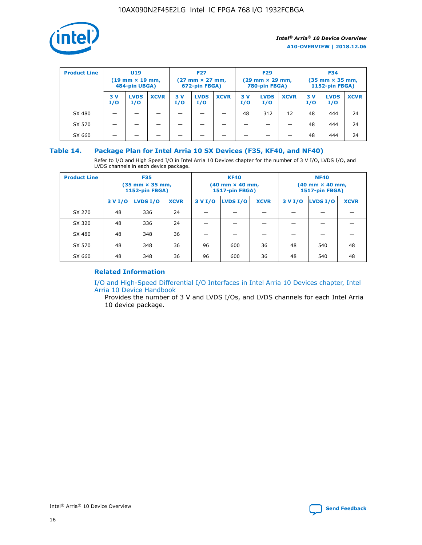

| <b>Product Line</b><br><b>U19</b><br>$(19 \text{ mm} \times 19 \text{ mm})$<br>484-pin UBGA) |            | <b>F27</b><br>$(27 \text{ mm} \times 27 \text{ mm})$<br>672-pin FBGA) |             |           | <b>F29</b><br>$(29 \text{ mm} \times 29 \text{ mm})$<br>780-pin FBGA) |             |           | <b>F34</b><br>$(35$ mm $\times$ 35 mm,<br><b>1152-pin FBGA)</b> |             |           |                    |             |
|----------------------------------------------------------------------------------------------|------------|-----------------------------------------------------------------------|-------------|-----------|-----------------------------------------------------------------------|-------------|-----------|-----------------------------------------------------------------|-------------|-----------|--------------------|-------------|
|                                                                                              | 3 V<br>I/O | <b>LVDS</b><br>I/O                                                    | <b>XCVR</b> | 3V<br>I/O | <b>LVDS</b><br>I/O                                                    | <b>XCVR</b> | 3V<br>I/O | <b>LVDS</b><br>I/O                                              | <b>XCVR</b> | 3V<br>I/O | <b>LVDS</b><br>I/O | <b>XCVR</b> |
| SX 480                                                                                       |            |                                                                       |             |           |                                                                       |             | 48        | 312                                                             | 12          | 48        | 444                | 24          |
| SX 570                                                                                       |            |                                                                       |             |           |                                                                       |             |           |                                                                 |             | 48        | 444                | 24          |
| SX 660                                                                                       |            |                                                                       |             |           |                                                                       |             |           |                                                                 |             | 48        | 444                | 24          |

## **Table 14. Package Plan for Intel Arria 10 SX Devices (F35, KF40, and NF40)**

Refer to I/O and High Speed I/O in Intel Arria 10 Devices chapter for the number of 3 V I/O, LVDS I/O, and LVDS channels in each device package.

| <b>Product Line</b> | <b>F35</b><br>(35 mm × 35 mm,<br><b>1152-pin FBGA)</b> |          |             |                                           | <b>KF40</b><br>(40 mm × 40 mm,<br>1517-pin FBGA) |    | <b>NF40</b><br>$(40 \text{ mm} \times 40 \text{ mm})$<br>1517-pin FBGA) |          |             |  |
|---------------------|--------------------------------------------------------|----------|-------------|-------------------------------------------|--------------------------------------------------|----|-------------------------------------------------------------------------|----------|-------------|--|
|                     | 3 V I/O                                                | LVDS I/O | <b>XCVR</b> | <b>LVDS I/O</b><br>3 V I/O<br><b>XCVR</b> |                                                  |    | 3 V I/O                                                                 | LVDS I/O | <b>XCVR</b> |  |
| SX 270              | 48                                                     | 336      | 24          |                                           |                                                  |    |                                                                         |          |             |  |
| SX 320              | 48                                                     | 336      | 24          |                                           |                                                  |    |                                                                         |          |             |  |
| SX 480              | 48                                                     | 348      | 36          |                                           |                                                  |    |                                                                         |          |             |  |
| SX 570              | 48                                                     | 348      | 36          | 96                                        | 600                                              | 36 | 48                                                                      | 540      | 48          |  |
| SX 660              | 48                                                     | 348      | 36          | 96                                        | 600                                              | 36 | 48                                                                      | 540      | 48          |  |

## **Related Information**

[I/O and High-Speed Differential I/O Interfaces in Intel Arria 10 Devices chapter, Intel](https://www.intel.com/content/www/us/en/programmable/documentation/sam1403482614086.html#sam1403482030321) [Arria 10 Device Handbook](https://www.intel.com/content/www/us/en/programmable/documentation/sam1403482614086.html#sam1403482030321)

Provides the number of 3 V and LVDS I/Os, and LVDS channels for each Intel Arria 10 device package.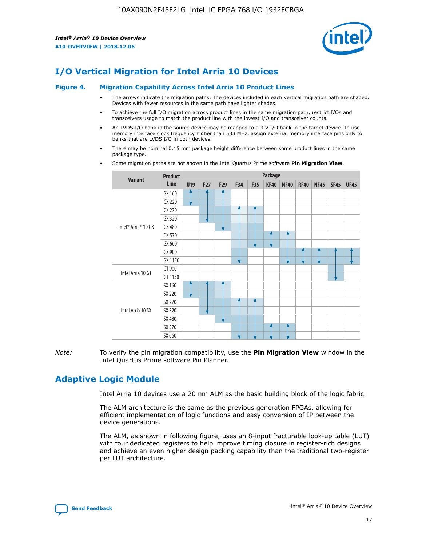

## **I/O Vertical Migration for Intel Arria 10 Devices**

#### **Figure 4. Migration Capability Across Intel Arria 10 Product Lines**

- The arrows indicate the migration paths. The devices included in each vertical migration path are shaded. Devices with fewer resources in the same path have lighter shades.
- To achieve the full I/O migration across product lines in the same migration path, restrict I/Os and transceivers usage to match the product line with the lowest I/O and transceiver counts.
- An LVDS I/O bank in the source device may be mapped to a 3 V I/O bank in the target device. To use memory interface clock frequency higher than 533 MHz, assign external memory interface pins only to banks that are LVDS I/O in both devices.
- There may be nominal 0.15 mm package height difference between some product lines in the same package type.
	- **Variant Product Line Package U19 F27 F29 F34 F35 KF40 NF40 RF40 NF45 SF45 UF45** Intel® Arria® 10 GX GX 160 GX 220 GX 270 GX 320 GX 480 GX 570 GX 660 GX 900 GX 1150 Intel Arria 10 GT GT 900 GT 1150 Intel Arria 10 SX SX 160 SX 220 SX 270 SX 320 SX 480 SX 570 SX 660
- Some migration paths are not shown in the Intel Quartus Prime software **Pin Migration View**.

*Note:* To verify the pin migration compatibility, use the **Pin Migration View** window in the Intel Quartus Prime software Pin Planner.

## **Adaptive Logic Module**

Intel Arria 10 devices use a 20 nm ALM as the basic building block of the logic fabric.

The ALM architecture is the same as the previous generation FPGAs, allowing for efficient implementation of logic functions and easy conversion of IP between the device generations.

The ALM, as shown in following figure, uses an 8-input fracturable look-up table (LUT) with four dedicated registers to help improve timing closure in register-rich designs and achieve an even higher design packing capability than the traditional two-register per LUT architecture.

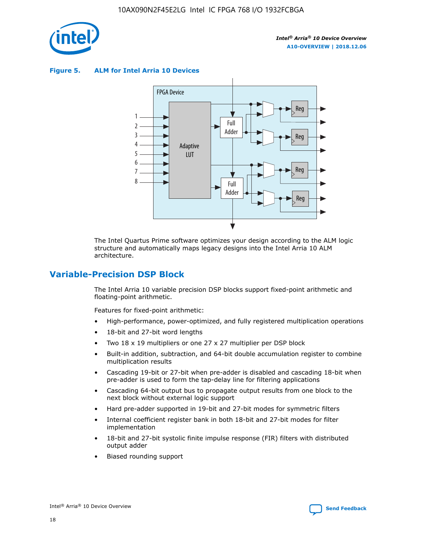

**Figure 5. ALM for Intel Arria 10 Devices**



The Intel Quartus Prime software optimizes your design according to the ALM logic structure and automatically maps legacy designs into the Intel Arria 10 ALM architecture.

## **Variable-Precision DSP Block**

The Intel Arria 10 variable precision DSP blocks support fixed-point arithmetic and floating-point arithmetic.

Features for fixed-point arithmetic:

- High-performance, power-optimized, and fully registered multiplication operations
- 18-bit and 27-bit word lengths
- Two 18 x 19 multipliers or one 27 x 27 multiplier per DSP block
- Built-in addition, subtraction, and 64-bit double accumulation register to combine multiplication results
- Cascading 19-bit or 27-bit when pre-adder is disabled and cascading 18-bit when pre-adder is used to form the tap-delay line for filtering applications
- Cascading 64-bit output bus to propagate output results from one block to the next block without external logic support
- Hard pre-adder supported in 19-bit and 27-bit modes for symmetric filters
- Internal coefficient register bank in both 18-bit and 27-bit modes for filter implementation
- 18-bit and 27-bit systolic finite impulse response (FIR) filters with distributed output adder
- Biased rounding support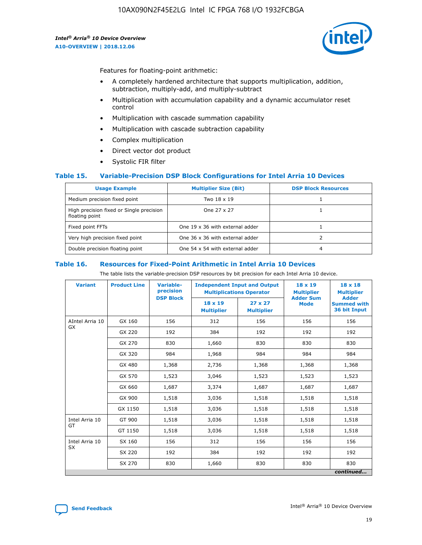

Features for floating-point arithmetic:

- A completely hardened architecture that supports multiplication, addition, subtraction, multiply-add, and multiply-subtract
- Multiplication with accumulation capability and a dynamic accumulator reset control
- Multiplication with cascade summation capability
- Multiplication with cascade subtraction capability
- Complex multiplication
- Direct vector dot product
- Systolic FIR filter

## **Table 15. Variable-Precision DSP Block Configurations for Intel Arria 10 Devices**

| <b>Usage Example</b>                                       | <b>Multiplier Size (Bit)</b>    | <b>DSP Block Resources</b> |
|------------------------------------------------------------|---------------------------------|----------------------------|
| Medium precision fixed point                               | Two 18 x 19                     |                            |
| High precision fixed or Single precision<br>floating point | One 27 x 27                     |                            |
| Fixed point FFTs                                           | One 19 x 36 with external adder |                            |
| Very high precision fixed point                            | One 36 x 36 with external adder |                            |
| Double precision floating point                            | One 54 x 54 with external adder | 4                          |

#### **Table 16. Resources for Fixed-Point Arithmetic in Intel Arria 10 Devices**

The table lists the variable-precision DSP resources by bit precision for each Intel Arria 10 device.

| <b>Variant</b>  | <b>Product Line</b> | <b>Variable-</b><br>precision<br><b>DSP Block</b> | <b>Independent Input and Output</b><br><b>Multiplications Operator</b> |                                     | 18 x 19<br><b>Multiplier</b><br><b>Adder Sum</b> | $18 \times 18$<br><b>Multiplier</b><br><b>Adder</b> |
|-----------------|---------------------|---------------------------------------------------|------------------------------------------------------------------------|-------------------------------------|--------------------------------------------------|-----------------------------------------------------|
|                 |                     |                                                   | 18 x 19<br><b>Multiplier</b>                                           | $27 \times 27$<br><b>Multiplier</b> | <b>Mode</b>                                      | <b>Summed with</b><br>36 bit Input                  |
| AIntel Arria 10 | GX 160              | 156                                               | 312                                                                    | 156                                 | 156                                              | 156                                                 |
| GX              | GX 220              | 192                                               | 384                                                                    | 192                                 | 192                                              | 192                                                 |
|                 | GX 270              | 830                                               | 1,660                                                                  | 830                                 | 830                                              | 830                                                 |
|                 | GX 320              | 984                                               | 1,968                                                                  | 984                                 | 984                                              | 984                                                 |
|                 | GX 480              | 1,368                                             | 2,736                                                                  | 1,368                               | 1,368                                            | 1,368                                               |
|                 | GX 570              | 1,523                                             | 3,046                                                                  | 1,523                               | 1,523                                            | 1,523                                               |
|                 | GX 660              | 1,687                                             | 3,374                                                                  | 1,687                               | 1,687                                            | 1,687                                               |
|                 | GX 900              | 1,518                                             | 3,036                                                                  | 1,518                               | 1,518                                            | 1,518                                               |
|                 | GX 1150             | 1,518                                             | 3,036                                                                  | 1,518                               | 1,518                                            | 1,518                                               |
| Intel Arria 10  | GT 900              | 1,518                                             | 3,036                                                                  | 1,518                               | 1,518                                            | 1,518                                               |
| GT              | GT 1150             | 1,518                                             | 3,036                                                                  | 1,518                               | 1,518                                            | 1,518                                               |
| Intel Arria 10  | SX 160              | 156                                               | 312                                                                    | 156                                 | 156                                              | 156                                                 |
| <b>SX</b>       | SX 220              | 192                                               | 384                                                                    | 192                                 | 192                                              | 192                                                 |
|                 | SX 270              | 830                                               | 1,660                                                                  | 830                                 | 830                                              | 830                                                 |
|                 |                     |                                                   |                                                                        |                                     |                                                  | continued                                           |

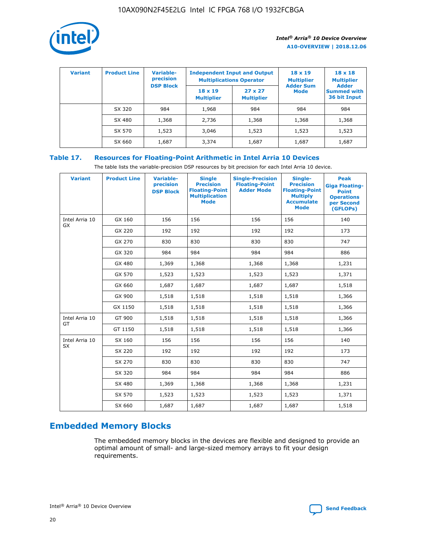

| <b>Variant</b> | <b>Product Line</b> | Variable-<br>precision | <b>Independent Input and Output</b><br><b>Multiplications Operator</b> |                                     | $18 \times 19$<br><b>Multiplier</b> | $18 \times 18$<br><b>Multiplier</b><br><b>Adder</b> |  |
|----------------|---------------------|------------------------|------------------------------------------------------------------------|-------------------------------------|-------------------------------------|-----------------------------------------------------|--|
|                |                     | <b>DSP Block</b>       | $18 \times 19$<br><b>Multiplier</b>                                    | $27 \times 27$<br><b>Multiplier</b> | <b>Adder Sum</b><br><b>Mode</b>     | <b>Summed with</b><br>36 bit Input                  |  |
|                | SX 320              | 984                    | 1,968                                                                  | 984                                 | 984                                 | 984                                                 |  |
|                | SX 480              | 1,368                  | 2,736                                                                  | 1,368                               | 1,368                               | 1,368                                               |  |
|                | SX 570              | 1,523                  | 3,046                                                                  | 1,523                               | 1,523                               | 1,523                                               |  |
|                | SX 660              | 1,687                  | 3,374                                                                  | 1,687                               | 1,687                               | 1,687                                               |  |

## **Table 17. Resources for Floating-Point Arithmetic in Intel Arria 10 Devices**

The table lists the variable-precision DSP resources by bit precision for each Intel Arria 10 device.

| <b>Variant</b> | <b>Product Line</b> | <b>Variable-</b><br>precision<br><b>DSP Block</b> | <b>Single</b><br><b>Precision</b><br><b>Floating-Point</b><br><b>Multiplication</b><br><b>Mode</b> | <b>Single-Precision</b><br><b>Floating-Point</b><br><b>Adder Mode</b> | Single-<br><b>Precision</b><br><b>Floating-Point</b><br><b>Multiply</b><br><b>Accumulate</b><br><b>Mode</b> | <b>Peak</b><br><b>Giga Floating-</b><br><b>Point</b><br><b>Operations</b><br>per Second<br>(GFLOPs) |
|----------------|---------------------|---------------------------------------------------|----------------------------------------------------------------------------------------------------|-----------------------------------------------------------------------|-------------------------------------------------------------------------------------------------------------|-----------------------------------------------------------------------------------------------------|
| Intel Arria 10 | GX 160              | 156                                               | 156                                                                                                | 156                                                                   | 156                                                                                                         | 140                                                                                                 |
| GX             | GX 220              | 192                                               | 192                                                                                                | 192                                                                   | 192                                                                                                         | 173                                                                                                 |
|                | GX 270              | 830                                               | 830                                                                                                | 830                                                                   | 830                                                                                                         | 747                                                                                                 |
|                | GX 320              | 984                                               | 984                                                                                                | 984                                                                   | 984                                                                                                         | 886                                                                                                 |
|                | GX 480              | 1,369                                             | 1,368                                                                                              | 1,368                                                                 | 1,368                                                                                                       | 1,231                                                                                               |
|                | GX 570              | 1,523                                             | 1,523                                                                                              | 1,523                                                                 | 1,523                                                                                                       | 1,371                                                                                               |
|                | GX 660              | 1,687                                             | 1,687                                                                                              | 1,687                                                                 | 1,687                                                                                                       | 1,518                                                                                               |
|                | GX 900              | 1,518                                             | 1,518                                                                                              | 1,518                                                                 | 1,518                                                                                                       | 1,366                                                                                               |
|                | GX 1150             | 1,518                                             | 1,518                                                                                              | 1,518                                                                 | 1,518                                                                                                       | 1,366                                                                                               |
| Intel Arria 10 | GT 900              | 1,518                                             | 1,518                                                                                              | 1,518                                                                 | 1,518                                                                                                       | 1,366                                                                                               |
| GT             | GT 1150             | 1,518                                             | 1,518                                                                                              | 1,518                                                                 | 1,518                                                                                                       | 1,366                                                                                               |
| Intel Arria 10 | SX 160              | 156                                               | 156                                                                                                | 156                                                                   | 156                                                                                                         | 140                                                                                                 |
| <b>SX</b>      | SX 220              | 192                                               | 192                                                                                                | 192                                                                   | 192                                                                                                         | 173                                                                                                 |
|                | SX 270              | 830                                               | 830                                                                                                | 830                                                                   | 830                                                                                                         | 747                                                                                                 |
|                | SX 320              | 984                                               | 984                                                                                                | 984                                                                   | 984                                                                                                         | 886                                                                                                 |
|                | SX 480              | 1,369                                             | 1,368                                                                                              | 1,368                                                                 | 1,368                                                                                                       | 1,231                                                                                               |
|                | SX 570              | 1,523                                             | 1,523                                                                                              | 1,523                                                                 | 1,523                                                                                                       | 1,371                                                                                               |
|                | SX 660              | 1,687                                             | 1,687                                                                                              | 1,687                                                                 | 1,687                                                                                                       | 1,518                                                                                               |

## **Embedded Memory Blocks**

The embedded memory blocks in the devices are flexible and designed to provide an optimal amount of small- and large-sized memory arrays to fit your design requirements.

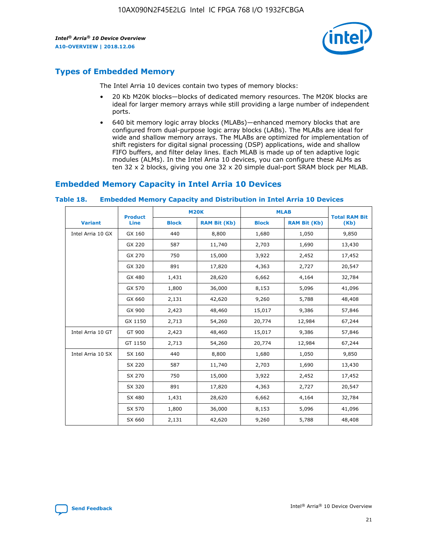

## **Types of Embedded Memory**

The Intel Arria 10 devices contain two types of memory blocks:

- 20 Kb M20K blocks—blocks of dedicated memory resources. The M20K blocks are ideal for larger memory arrays while still providing a large number of independent ports.
- 640 bit memory logic array blocks (MLABs)—enhanced memory blocks that are configured from dual-purpose logic array blocks (LABs). The MLABs are ideal for wide and shallow memory arrays. The MLABs are optimized for implementation of shift registers for digital signal processing (DSP) applications, wide and shallow FIFO buffers, and filter delay lines. Each MLAB is made up of ten adaptive logic modules (ALMs). In the Intel Arria 10 devices, you can configure these ALMs as ten 32 x 2 blocks, giving you one 32 x 20 simple dual-port SRAM block per MLAB.

## **Embedded Memory Capacity in Intel Arria 10 Devices**

|                   | <b>Product</b> |              | <b>M20K</b>         |              | <b>MLAB</b>         | <b>Total RAM Bit</b> |
|-------------------|----------------|--------------|---------------------|--------------|---------------------|----------------------|
| <b>Variant</b>    | Line           | <b>Block</b> | <b>RAM Bit (Kb)</b> | <b>Block</b> | <b>RAM Bit (Kb)</b> | (Kb)                 |
| Intel Arria 10 GX | GX 160         | 440          | 8,800               | 1,680        | 1,050               | 9,850                |
|                   | GX 220         | 587          | 11,740              | 2,703        | 1,690               | 13,430               |
|                   | GX 270         | 750          | 15,000              | 3,922        | 2,452               | 17,452               |
|                   | GX 320         | 891          | 17,820              | 4,363        | 2,727               | 20,547               |
|                   | GX 480         | 1,431        | 28,620              | 6,662        | 4,164               | 32,784               |
|                   | GX 570         | 1,800        | 36,000              | 8,153        | 5,096               | 41,096               |
|                   | GX 660         | 2,131        | 42,620              | 9,260        | 5,788               | 48,408               |
|                   | GX 900         | 2,423        | 48,460              | 15,017       | 9,386               | 57,846               |
|                   | GX 1150        | 2,713        | 54,260              | 20,774       | 12,984              | 67,244               |
| Intel Arria 10 GT | GT 900         | 2,423        | 48,460              | 15,017       | 9,386               | 57,846               |
|                   | GT 1150        | 2,713        | 54,260              | 20,774       | 12,984              | 67,244               |
| Intel Arria 10 SX | SX 160         | 440          | 8,800               | 1,680        | 1,050               | 9,850                |
|                   | SX 220         | 587          | 11,740              | 2,703        | 1,690               | 13,430               |
|                   | SX 270         | 750          | 15,000              | 3,922        | 2,452               | 17,452               |
|                   | SX 320         | 891          | 17,820              | 4,363        | 2,727               | 20,547               |
|                   | SX 480         | 1,431        | 28,620              | 6,662        | 4,164               | 32,784               |
|                   | SX 570         | 1,800        | 36,000              | 8,153        | 5,096               | 41,096               |
|                   | SX 660         | 2,131        | 42,620              | 9,260        | 5,788               | 48,408               |

#### **Table 18. Embedded Memory Capacity and Distribution in Intel Arria 10 Devices**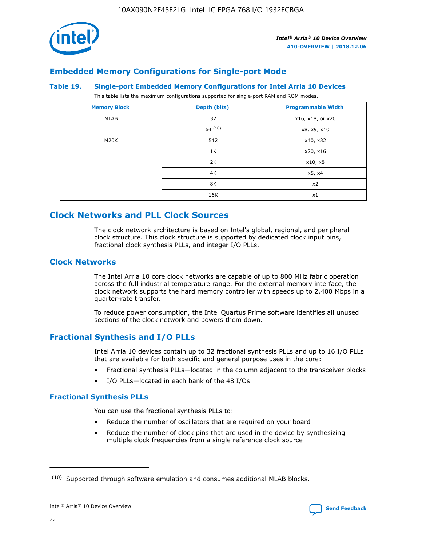

## **Embedded Memory Configurations for Single-port Mode**

#### **Table 19. Single-port Embedded Memory Configurations for Intel Arria 10 Devices**

This table lists the maximum configurations supported for single-port RAM and ROM modes.

| <b>Memory Block</b> | Depth (bits) | <b>Programmable Width</b> |
|---------------------|--------------|---------------------------|
| MLAB                | 32           | x16, x18, or x20          |
|                     | 64(10)       | x8, x9, x10               |
| M20K                | 512          | x40, x32                  |
|                     | 1K           | x20, x16                  |
|                     | 2K           | x10, x8                   |
|                     | 4K           | x5, x4                    |
|                     | 8K           | x2                        |
|                     | 16K          | x1                        |

## **Clock Networks and PLL Clock Sources**

The clock network architecture is based on Intel's global, regional, and peripheral clock structure. This clock structure is supported by dedicated clock input pins, fractional clock synthesis PLLs, and integer I/O PLLs.

## **Clock Networks**

The Intel Arria 10 core clock networks are capable of up to 800 MHz fabric operation across the full industrial temperature range. For the external memory interface, the clock network supports the hard memory controller with speeds up to 2,400 Mbps in a quarter-rate transfer.

To reduce power consumption, the Intel Quartus Prime software identifies all unused sections of the clock network and powers them down.

## **Fractional Synthesis and I/O PLLs**

Intel Arria 10 devices contain up to 32 fractional synthesis PLLs and up to 16 I/O PLLs that are available for both specific and general purpose uses in the core:

- Fractional synthesis PLLs—located in the column adjacent to the transceiver blocks
- I/O PLLs—located in each bank of the 48 I/Os

## **Fractional Synthesis PLLs**

You can use the fractional synthesis PLLs to:

- Reduce the number of oscillators that are required on your board
- Reduce the number of clock pins that are used in the device by synthesizing multiple clock frequencies from a single reference clock source

<sup>(10)</sup> Supported through software emulation and consumes additional MLAB blocks.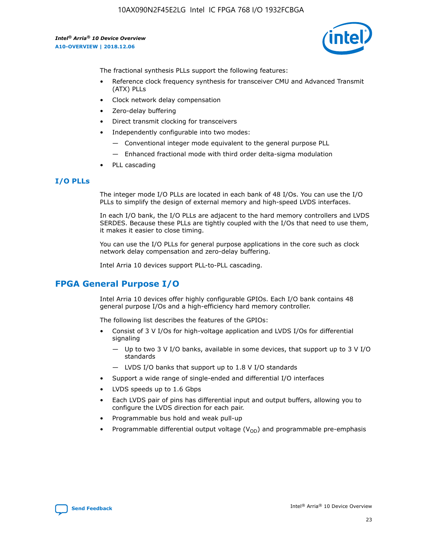10AX090N2F45E2LG Intel IC FPGA 768 I/O 1932FCBGA

*Intel® Arria® 10 Device Overview* **A10-OVERVIEW | 2018.12.06**



The fractional synthesis PLLs support the following features:

- Reference clock frequency synthesis for transceiver CMU and Advanced Transmit (ATX) PLLs
- Clock network delay compensation
- Zero-delay buffering
- Direct transmit clocking for transceivers
- Independently configurable into two modes:
	- Conventional integer mode equivalent to the general purpose PLL
	- Enhanced fractional mode with third order delta-sigma modulation
- PLL cascading

## **I/O PLLs**

The integer mode I/O PLLs are located in each bank of 48 I/Os. You can use the I/O PLLs to simplify the design of external memory and high-speed LVDS interfaces.

In each I/O bank, the I/O PLLs are adjacent to the hard memory controllers and LVDS SERDES. Because these PLLs are tightly coupled with the I/Os that need to use them, it makes it easier to close timing.

You can use the I/O PLLs for general purpose applications in the core such as clock network delay compensation and zero-delay buffering.

Intel Arria 10 devices support PLL-to-PLL cascading.

## **FPGA General Purpose I/O**

Intel Arria 10 devices offer highly configurable GPIOs. Each I/O bank contains 48 general purpose I/Os and a high-efficiency hard memory controller.

The following list describes the features of the GPIOs:

- Consist of 3 V I/Os for high-voltage application and LVDS I/Os for differential signaling
	- Up to two 3 V I/O banks, available in some devices, that support up to 3 V I/O standards
	- LVDS I/O banks that support up to 1.8 V I/O standards
- Support a wide range of single-ended and differential I/O interfaces
- LVDS speeds up to 1.6 Gbps
- Each LVDS pair of pins has differential input and output buffers, allowing you to configure the LVDS direction for each pair.
- Programmable bus hold and weak pull-up
- Programmable differential output voltage  $(V_{OD})$  and programmable pre-emphasis

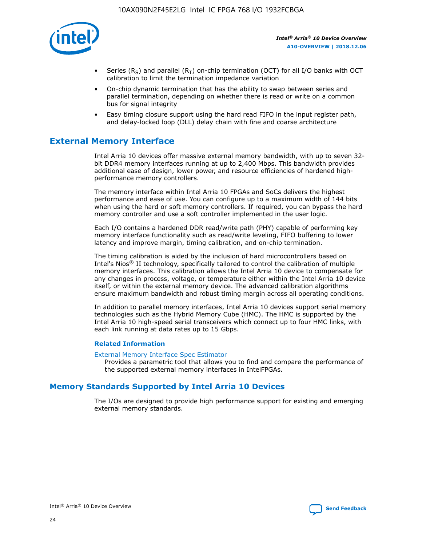

- Series (R<sub>S</sub>) and parallel (R<sub>T</sub>) on-chip termination (OCT) for all I/O banks with OCT calibration to limit the termination impedance variation
- On-chip dynamic termination that has the ability to swap between series and parallel termination, depending on whether there is read or write on a common bus for signal integrity
- Easy timing closure support using the hard read FIFO in the input register path, and delay-locked loop (DLL) delay chain with fine and coarse architecture

## **External Memory Interface**

Intel Arria 10 devices offer massive external memory bandwidth, with up to seven 32 bit DDR4 memory interfaces running at up to 2,400 Mbps. This bandwidth provides additional ease of design, lower power, and resource efficiencies of hardened highperformance memory controllers.

The memory interface within Intel Arria 10 FPGAs and SoCs delivers the highest performance and ease of use. You can configure up to a maximum width of 144 bits when using the hard or soft memory controllers. If required, you can bypass the hard memory controller and use a soft controller implemented in the user logic.

Each I/O contains a hardened DDR read/write path (PHY) capable of performing key memory interface functionality such as read/write leveling, FIFO buffering to lower latency and improve margin, timing calibration, and on-chip termination.

The timing calibration is aided by the inclusion of hard microcontrollers based on Intel's Nios® II technology, specifically tailored to control the calibration of multiple memory interfaces. This calibration allows the Intel Arria 10 device to compensate for any changes in process, voltage, or temperature either within the Intel Arria 10 device itself, or within the external memory device. The advanced calibration algorithms ensure maximum bandwidth and robust timing margin across all operating conditions.

In addition to parallel memory interfaces, Intel Arria 10 devices support serial memory technologies such as the Hybrid Memory Cube (HMC). The HMC is supported by the Intel Arria 10 high-speed serial transceivers which connect up to four HMC links, with each link running at data rates up to 15 Gbps.

## **Related Information**

#### [External Memory Interface Spec Estimator](http://www.altera.com/technology/memory/estimator/mem-emif-index.html)

Provides a parametric tool that allows you to find and compare the performance of the supported external memory interfaces in IntelFPGAs.

## **Memory Standards Supported by Intel Arria 10 Devices**

The I/Os are designed to provide high performance support for existing and emerging external memory standards.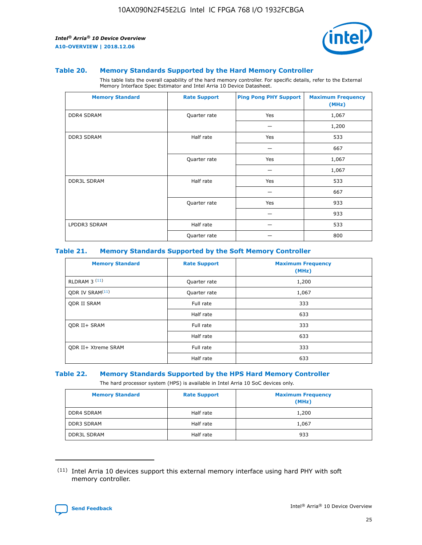

#### **Table 20. Memory Standards Supported by the Hard Memory Controller**

This table lists the overall capability of the hard memory controller. For specific details, refer to the External Memory Interface Spec Estimator and Intel Arria 10 Device Datasheet.

| <b>Memory Standard</b> | <b>Rate Support</b> | <b>Ping Pong PHY Support</b> | <b>Maximum Frequency</b><br>(MHz) |
|------------------------|---------------------|------------------------------|-----------------------------------|
| <b>DDR4 SDRAM</b>      | Quarter rate        | Yes                          | 1,067                             |
|                        |                     |                              | 1,200                             |
| DDR3 SDRAM             | Half rate           | Yes                          | 533                               |
|                        |                     |                              | 667                               |
|                        | Quarter rate        | Yes                          | 1,067                             |
|                        |                     |                              | 1,067                             |
| <b>DDR3L SDRAM</b>     | Half rate           | Yes                          | 533                               |
|                        |                     |                              | 667                               |
|                        | Quarter rate        | Yes                          | 933                               |
|                        |                     |                              | 933                               |
| LPDDR3 SDRAM           | Half rate           |                              | 533                               |
|                        | Quarter rate        |                              | 800                               |

## **Table 21. Memory Standards Supported by the Soft Memory Controller**

| <b>Memory Standard</b>      | <b>Rate Support</b> | <b>Maximum Frequency</b><br>(MHz) |
|-----------------------------|---------------------|-----------------------------------|
| <b>RLDRAM 3 (11)</b>        | Quarter rate        | 1,200                             |
| ODR IV SRAM <sup>(11)</sup> | Quarter rate        | 1,067                             |
| <b>ODR II SRAM</b>          | Full rate           | 333                               |
|                             | Half rate           | 633                               |
| <b>ODR II+ SRAM</b>         | Full rate           | 333                               |
|                             | Half rate           | 633                               |
| <b>ODR II+ Xtreme SRAM</b>  | Full rate           | 333                               |
|                             | Half rate           | 633                               |

#### **Table 22. Memory Standards Supported by the HPS Hard Memory Controller**

The hard processor system (HPS) is available in Intel Arria 10 SoC devices only.

| <b>Memory Standard</b> | <b>Rate Support</b> | <b>Maximum Frequency</b><br>(MHz) |
|------------------------|---------------------|-----------------------------------|
| <b>DDR4 SDRAM</b>      | Half rate           | 1,200                             |
| <b>DDR3 SDRAM</b>      | Half rate           | 1,067                             |
| <b>DDR3L SDRAM</b>     | Half rate           | 933                               |

<sup>(11)</sup> Intel Arria 10 devices support this external memory interface using hard PHY with soft memory controller.

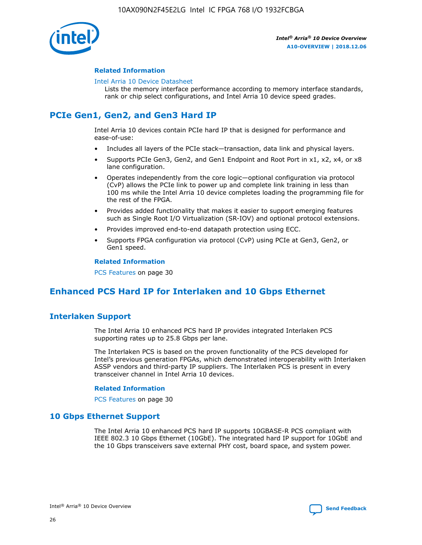

## **Related Information**

#### [Intel Arria 10 Device Datasheet](https://www.intel.com/content/www/us/en/programmable/documentation/mcn1413182292568.html#mcn1413182153340)

Lists the memory interface performance according to memory interface standards, rank or chip select configurations, and Intel Arria 10 device speed grades.

## **PCIe Gen1, Gen2, and Gen3 Hard IP**

Intel Arria 10 devices contain PCIe hard IP that is designed for performance and ease-of-use:

- Includes all layers of the PCIe stack—transaction, data link and physical layers.
- Supports PCIe Gen3, Gen2, and Gen1 Endpoint and Root Port in x1, x2, x4, or x8 lane configuration.
- Operates independently from the core logic—optional configuration via protocol (CvP) allows the PCIe link to power up and complete link training in less than 100 ms while the Intel Arria 10 device completes loading the programming file for the rest of the FPGA.
- Provides added functionality that makes it easier to support emerging features such as Single Root I/O Virtualization (SR-IOV) and optional protocol extensions.
- Provides improved end-to-end datapath protection using ECC.
- Supports FPGA configuration via protocol (CvP) using PCIe at Gen3, Gen2, or Gen1 speed.

#### **Related Information**

PCS Features on page 30

## **Enhanced PCS Hard IP for Interlaken and 10 Gbps Ethernet**

## **Interlaken Support**

The Intel Arria 10 enhanced PCS hard IP provides integrated Interlaken PCS supporting rates up to 25.8 Gbps per lane.

The Interlaken PCS is based on the proven functionality of the PCS developed for Intel's previous generation FPGAs, which demonstrated interoperability with Interlaken ASSP vendors and third-party IP suppliers. The Interlaken PCS is present in every transceiver channel in Intel Arria 10 devices.

## **Related Information**

PCS Features on page 30

## **10 Gbps Ethernet Support**

The Intel Arria 10 enhanced PCS hard IP supports 10GBASE-R PCS compliant with IEEE 802.3 10 Gbps Ethernet (10GbE). The integrated hard IP support for 10GbE and the 10 Gbps transceivers save external PHY cost, board space, and system power.

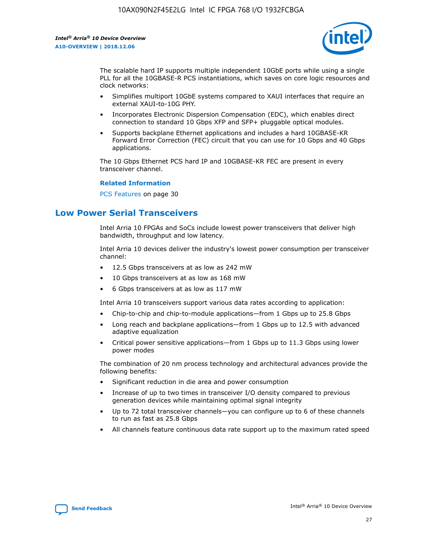

The scalable hard IP supports multiple independent 10GbE ports while using a single PLL for all the 10GBASE-R PCS instantiations, which saves on core logic resources and clock networks:

- Simplifies multiport 10GbE systems compared to XAUI interfaces that require an external XAUI-to-10G PHY.
- Incorporates Electronic Dispersion Compensation (EDC), which enables direct connection to standard 10 Gbps XFP and SFP+ pluggable optical modules.
- Supports backplane Ethernet applications and includes a hard 10GBASE-KR Forward Error Correction (FEC) circuit that you can use for 10 Gbps and 40 Gbps applications.

The 10 Gbps Ethernet PCS hard IP and 10GBASE-KR FEC are present in every transceiver channel.

#### **Related Information**

PCS Features on page 30

## **Low Power Serial Transceivers**

Intel Arria 10 FPGAs and SoCs include lowest power transceivers that deliver high bandwidth, throughput and low latency.

Intel Arria 10 devices deliver the industry's lowest power consumption per transceiver channel:

- 12.5 Gbps transceivers at as low as 242 mW
- 10 Gbps transceivers at as low as 168 mW
- 6 Gbps transceivers at as low as 117 mW

Intel Arria 10 transceivers support various data rates according to application:

- Chip-to-chip and chip-to-module applications—from 1 Gbps up to 25.8 Gbps
- Long reach and backplane applications—from 1 Gbps up to 12.5 with advanced adaptive equalization
- Critical power sensitive applications—from 1 Gbps up to 11.3 Gbps using lower power modes

The combination of 20 nm process technology and architectural advances provide the following benefits:

- Significant reduction in die area and power consumption
- Increase of up to two times in transceiver I/O density compared to previous generation devices while maintaining optimal signal integrity
- Up to 72 total transceiver channels—you can configure up to 6 of these channels to run as fast as 25.8 Gbps
- All channels feature continuous data rate support up to the maximum rated speed

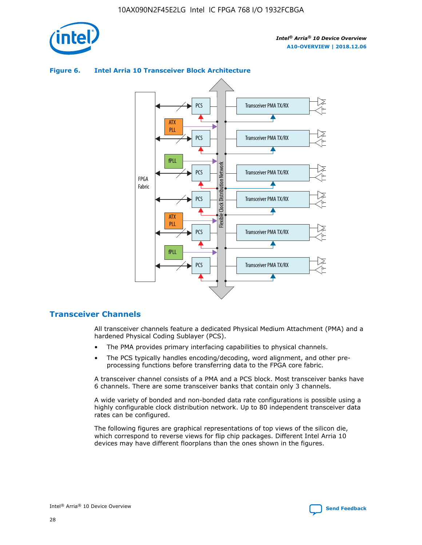



## **Figure 6. Intel Arria 10 Transceiver Block Architecture**

## **Transceiver Channels**

All transceiver channels feature a dedicated Physical Medium Attachment (PMA) and a hardened Physical Coding Sublayer (PCS).

- The PMA provides primary interfacing capabilities to physical channels.
- The PCS typically handles encoding/decoding, word alignment, and other preprocessing functions before transferring data to the FPGA core fabric.

A transceiver channel consists of a PMA and a PCS block. Most transceiver banks have 6 channels. There are some transceiver banks that contain only 3 channels.

A wide variety of bonded and non-bonded data rate configurations is possible using a highly configurable clock distribution network. Up to 80 independent transceiver data rates can be configured.

The following figures are graphical representations of top views of the silicon die, which correspond to reverse views for flip chip packages. Different Intel Arria 10 devices may have different floorplans than the ones shown in the figures.

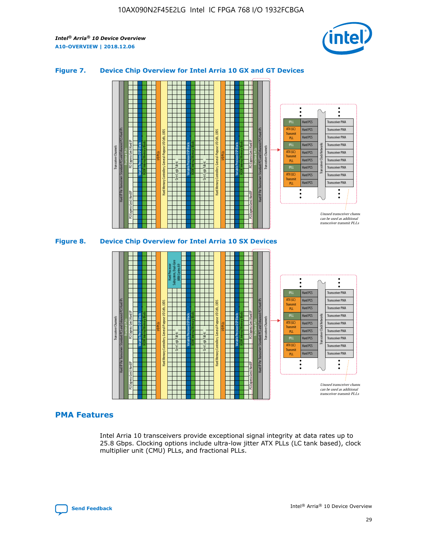

## **Figure 7. Device Chip Overview for Intel Arria 10 GX and GT Devices**



M20K Internal Memory Blocks Core Logic Fabric Transceiver Channels Hard IP Per Transceiver: Standard PCS and Enhanced PCS Hard IPs PCI Express Gen3 Hard IP Fractional PLLs M20K Internal Memory Blocks PCI Express Gen3 Hard IP Variable Precision DSP Blocks I/O PLLs Hard Memory Controllers, General-Purpose I/O Cells, LVDS Hard Processor Subsystem, Dual-Core ARM Cortex A9 M20K Internal Memory Blocks Variable Precision DSP Blocks M20K Internal Memory Blocks Core Logic Fabric I/O PLLs Hard Memory Controllers, General-Purpose I/O Cells, LVDS M20K Internal Memory Blocks Variable Precision DSP Blocks M20K Internal Memory Blocks Transceiver Channels Hard IP Per Transceiver: Standard PCS and Enhanced PCS Hard IPs PCI Express Gen3 Hard IP Fractional PLLs PCI Express Gen3 Hard IP Hard PCS Hard PCS Hard PCS Hard PCS Hard PCS Hard PCS Hard PCS Hard PCS Transceiver PMA Transceiver PMA Transceiver PMA Transceiver PMA Transceiver PMA Transceiver PMA Unused transceiver chann can be used as additional transceiver transmit PLLs Transceiver PMA Transceiver PMA Transceiver Clock Networks ATX (LC) **Transmit** PLL fPLL ATX (LC) Transmi PLL fPLL ATX (LC) **Transmit** PLL

## **PMA Features**

Intel Arria 10 transceivers provide exceptional signal integrity at data rates up to 25.8 Gbps. Clocking options include ultra-low jitter ATX PLLs (LC tank based), clock multiplier unit (CMU) PLLs, and fractional PLLs.

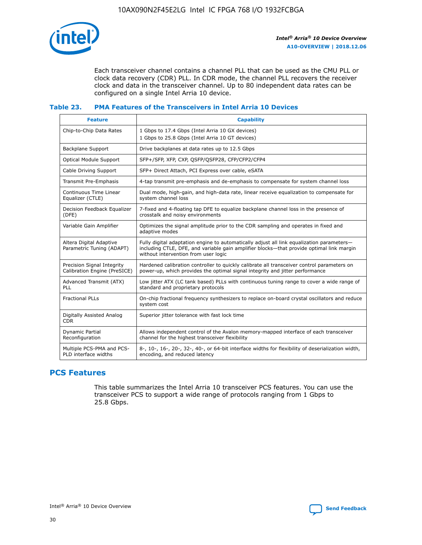

Each transceiver channel contains a channel PLL that can be used as the CMU PLL or clock data recovery (CDR) PLL. In CDR mode, the channel PLL recovers the receiver clock and data in the transceiver channel. Up to 80 independent data rates can be configured on a single Intel Arria 10 device.

## **Table 23. PMA Features of the Transceivers in Intel Arria 10 Devices**

| <b>Feature</b>                                             | <b>Capability</b>                                                                                                                                                                                                             |
|------------------------------------------------------------|-------------------------------------------------------------------------------------------------------------------------------------------------------------------------------------------------------------------------------|
| Chip-to-Chip Data Rates                                    | 1 Gbps to 17.4 Gbps (Intel Arria 10 GX devices)<br>1 Gbps to 25.8 Gbps (Intel Arria 10 GT devices)                                                                                                                            |
| Backplane Support                                          | Drive backplanes at data rates up to 12.5 Gbps                                                                                                                                                                                |
| Optical Module Support                                     | SFP+/SFP, XFP, CXP, QSFP/QSFP28, CFP/CFP2/CFP4                                                                                                                                                                                |
| Cable Driving Support                                      | SFP+ Direct Attach, PCI Express over cable, eSATA                                                                                                                                                                             |
| Transmit Pre-Emphasis                                      | 4-tap transmit pre-emphasis and de-emphasis to compensate for system channel loss                                                                                                                                             |
| Continuous Time Linear<br>Equalizer (CTLE)                 | Dual mode, high-gain, and high-data rate, linear receive equalization to compensate for<br>system channel loss                                                                                                                |
| Decision Feedback Equalizer<br>(DFE)                       | 7-fixed and 4-floating tap DFE to equalize backplane channel loss in the presence of<br>crosstalk and noisy environments                                                                                                      |
| Variable Gain Amplifier                                    | Optimizes the signal amplitude prior to the CDR sampling and operates in fixed and<br>adaptive modes                                                                                                                          |
| Altera Digital Adaptive<br>Parametric Tuning (ADAPT)       | Fully digital adaptation engine to automatically adjust all link equalization parameters-<br>including CTLE, DFE, and variable gain amplifier blocks—that provide optimal link margin<br>without intervention from user logic |
| Precision Signal Integrity<br>Calibration Engine (PreSICE) | Hardened calibration controller to quickly calibrate all transceiver control parameters on<br>power-up, which provides the optimal signal integrity and jitter performance                                                    |
| Advanced Transmit (ATX)<br><b>PLL</b>                      | Low jitter ATX (LC tank based) PLLs with continuous tuning range to cover a wide range of<br>standard and proprietary protocols                                                                                               |
| <b>Fractional PLLs</b>                                     | On-chip fractional frequency synthesizers to replace on-board crystal oscillators and reduce<br>system cost                                                                                                                   |
| Digitally Assisted Analog<br><b>CDR</b>                    | Superior jitter tolerance with fast lock time                                                                                                                                                                                 |
| Dynamic Partial<br>Reconfiguration                         | Allows independent control of the Avalon memory-mapped interface of each transceiver<br>channel for the highest transceiver flexibility                                                                                       |
| Multiple PCS-PMA and PCS-<br>PLD interface widths          | 8-, 10-, 16-, 20-, 32-, 40-, or 64-bit interface widths for flexibility of deserialization width,<br>encoding, and reduced latency                                                                                            |

## **PCS Features**

This table summarizes the Intel Arria 10 transceiver PCS features. You can use the transceiver PCS to support a wide range of protocols ranging from 1 Gbps to 25.8 Gbps.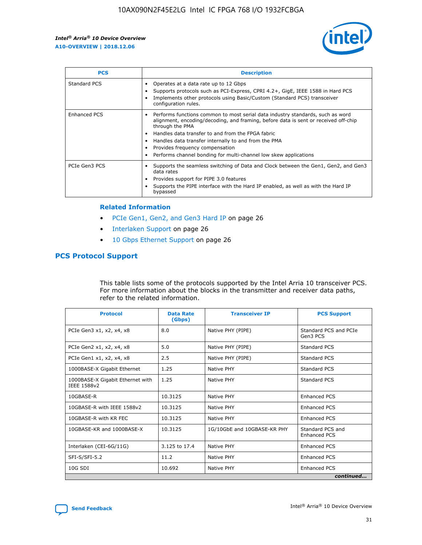

| <b>PCS</b>    | <b>Description</b>                                                                                                                                                                                                                                                                                                                                                                                             |
|---------------|----------------------------------------------------------------------------------------------------------------------------------------------------------------------------------------------------------------------------------------------------------------------------------------------------------------------------------------------------------------------------------------------------------------|
| Standard PCS  | Operates at a data rate up to 12 Gbps<br>Supports protocols such as PCI-Express, CPRI 4.2+, GigE, IEEE 1588 in Hard PCS<br>Implements other protocols using Basic/Custom (Standard PCS) transceiver<br>configuration rules.                                                                                                                                                                                    |
| Enhanced PCS  | Performs functions common to most serial data industry standards, such as word<br>alignment, encoding/decoding, and framing, before data is sent or received off-chip<br>through the PMA<br>• Handles data transfer to and from the FPGA fabric<br>Handles data transfer internally to and from the PMA<br>Provides frequency compensation<br>Performs channel bonding for multi-channel low skew applications |
| PCIe Gen3 PCS | Supports the seamless switching of Data and Clock between the Gen1, Gen2, and Gen3<br>data rates<br>Provides support for PIPE 3.0 features<br>Supports the PIPE interface with the Hard IP enabled, as well as with the Hard IP<br>bypassed                                                                                                                                                                    |

#### **Related Information**

- PCIe Gen1, Gen2, and Gen3 Hard IP on page 26
- Interlaken Support on page 26
- 10 Gbps Ethernet Support on page 26

## **PCS Protocol Support**

This table lists some of the protocols supported by the Intel Arria 10 transceiver PCS. For more information about the blocks in the transmitter and receiver data paths, refer to the related information.

| <b>Protocol</b>                                 | <b>Data Rate</b><br>(Gbps) | <b>Transceiver IP</b>       | <b>PCS Support</b>                      |
|-------------------------------------------------|----------------------------|-----------------------------|-----------------------------------------|
| PCIe Gen3 x1, x2, x4, x8                        | 8.0                        | Native PHY (PIPE)           | Standard PCS and PCIe<br>Gen3 PCS       |
| PCIe Gen2 x1, x2, x4, x8                        | 5.0                        | Native PHY (PIPE)           | <b>Standard PCS</b>                     |
| PCIe Gen1 x1, x2, x4, x8                        | 2.5                        | Native PHY (PIPE)           | Standard PCS                            |
| 1000BASE-X Gigabit Ethernet                     | 1.25                       | Native PHY                  | <b>Standard PCS</b>                     |
| 1000BASE-X Gigabit Ethernet with<br>IEEE 1588v2 | 1.25                       | Native PHY                  | Standard PCS                            |
| 10GBASE-R                                       | 10.3125                    | Native PHY                  | <b>Enhanced PCS</b>                     |
| 10GBASE-R with IEEE 1588v2                      | 10.3125                    | Native PHY                  | <b>Enhanced PCS</b>                     |
| 10GBASE-R with KR FEC                           | 10.3125                    | Native PHY                  | <b>Enhanced PCS</b>                     |
| 10GBASE-KR and 1000BASE-X                       | 10.3125                    | 1G/10GbE and 10GBASE-KR PHY | Standard PCS and<br><b>Enhanced PCS</b> |
| Interlaken (CEI-6G/11G)                         | 3.125 to 17.4              | Native PHY                  | <b>Enhanced PCS</b>                     |
| SFI-S/SFI-5.2                                   | 11.2                       | Native PHY                  | <b>Enhanced PCS</b>                     |
| $10G$ SDI                                       | 10.692                     | Native PHY                  | <b>Enhanced PCS</b>                     |
|                                                 |                            |                             | continued                               |

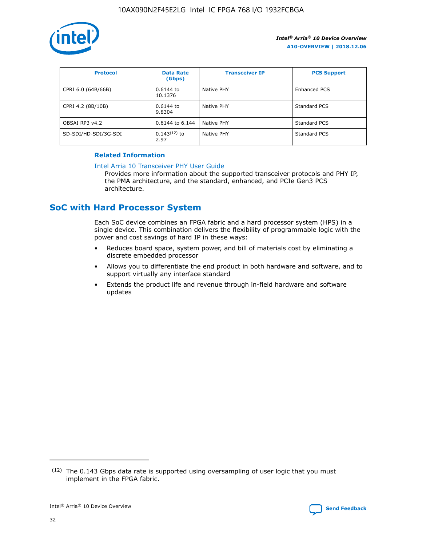

| <b>Protocol</b>      | <b>Data Rate</b><br>(Gbps) | <b>Transceiver IP</b> | <b>PCS Support</b> |
|----------------------|----------------------------|-----------------------|--------------------|
| CPRI 6.0 (64B/66B)   | 0.6144 to<br>10.1376       | Native PHY            | Enhanced PCS       |
| CPRI 4.2 (8B/10B)    | 0.6144 to<br>9.8304        | Native PHY            | Standard PCS       |
| OBSAI RP3 v4.2       | 0.6144 to 6.144            | Native PHY            | Standard PCS       |
| SD-SDI/HD-SDI/3G-SDI | $0.143(12)$ to<br>2.97     | Native PHY            | Standard PCS       |

## **Related Information**

#### [Intel Arria 10 Transceiver PHY User Guide](https://www.intel.com/content/www/us/en/programmable/documentation/nik1398707230472.html#nik1398707091164)

Provides more information about the supported transceiver protocols and PHY IP, the PMA architecture, and the standard, enhanced, and PCIe Gen3 PCS architecture.

## **SoC with Hard Processor System**

Each SoC device combines an FPGA fabric and a hard processor system (HPS) in a single device. This combination delivers the flexibility of programmable logic with the power and cost savings of hard IP in these ways:

- Reduces board space, system power, and bill of materials cost by eliminating a discrete embedded processor
- Allows you to differentiate the end product in both hardware and software, and to support virtually any interface standard
- Extends the product life and revenue through in-field hardware and software updates

 $(12)$  The 0.143 Gbps data rate is supported using oversampling of user logic that you must implement in the FPGA fabric.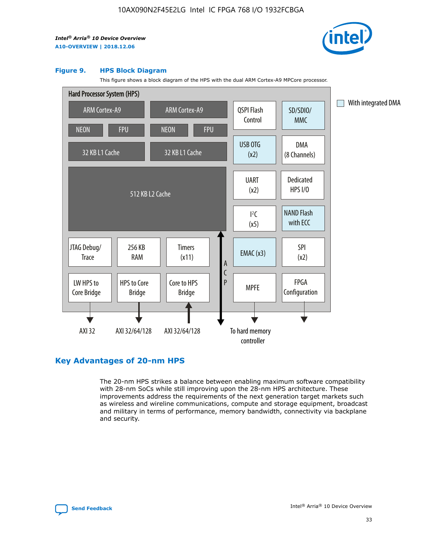

#### **Figure 9. HPS Block Diagram**

This figure shows a block diagram of the HPS with the dual ARM Cortex-A9 MPCore processor.



## **Key Advantages of 20-nm HPS**

The 20-nm HPS strikes a balance between enabling maximum software compatibility with 28-nm SoCs while still improving upon the 28-nm HPS architecture. These improvements address the requirements of the next generation target markets such as wireless and wireline communications, compute and storage equipment, broadcast and military in terms of performance, memory bandwidth, connectivity via backplane and security.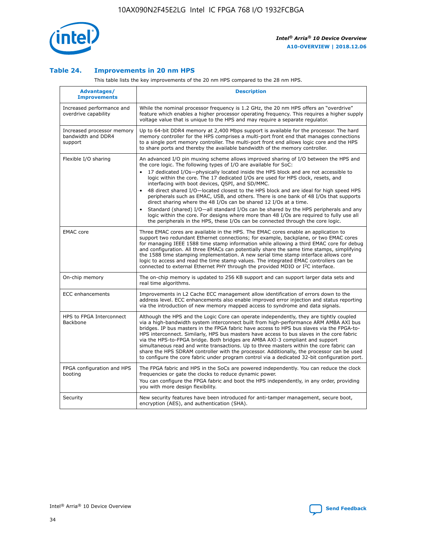

## **Table 24. Improvements in 20 nm HPS**

This table lists the key improvements of the 20 nm HPS compared to the 28 nm HPS.

| Advantages/<br><b>Improvements</b>                          | <b>Description</b>                                                                                                                                                                                                                                                                                                                                                                                                                                                                                                                                                                                                                                                                                                                                                                                                                                                                                                      |
|-------------------------------------------------------------|-------------------------------------------------------------------------------------------------------------------------------------------------------------------------------------------------------------------------------------------------------------------------------------------------------------------------------------------------------------------------------------------------------------------------------------------------------------------------------------------------------------------------------------------------------------------------------------------------------------------------------------------------------------------------------------------------------------------------------------------------------------------------------------------------------------------------------------------------------------------------------------------------------------------------|
| Increased performance and<br>overdrive capability           | While the nominal processor frequency is 1.2 GHz, the 20 nm HPS offers an "overdrive"<br>feature which enables a higher processor operating frequency. This requires a higher supply<br>voltage value that is unique to the HPS and may require a separate regulator.                                                                                                                                                                                                                                                                                                                                                                                                                                                                                                                                                                                                                                                   |
| Increased processor memory<br>bandwidth and DDR4<br>support | Up to 64-bit DDR4 memory at 2,400 Mbps support is available for the processor. The hard<br>memory controller for the HPS comprises a multi-port front end that manages connections<br>to a single port memory controller. The multi-port front end allows logic core and the HPS<br>to share ports and thereby the available bandwidth of the memory controller.                                                                                                                                                                                                                                                                                                                                                                                                                                                                                                                                                        |
| Flexible I/O sharing                                        | An advanced I/O pin muxing scheme allows improved sharing of I/O between the HPS and<br>the core logic. The following types of I/O are available for SoC:<br>17 dedicated I/Os-physically located inside the HPS block and are not accessible to<br>logic within the core. The 17 dedicated I/Os are used for HPS clock, resets, and<br>interfacing with boot devices, QSPI, and SD/MMC.<br>48 direct shared I/O-located closest to the HPS block and are ideal for high speed HPS<br>peripherals such as EMAC, USB, and others. There is one bank of 48 I/Os that supports<br>direct sharing where the 48 I/Os can be shared 12 I/Os at a time.<br>Standard (shared) I/O-all standard I/Os can be shared by the HPS peripherals and any<br>logic within the core. For designs where more than 48 I/Os are reguired to fully use all<br>the peripherals in the HPS, these I/Os can be connected through the core logic. |
| <b>EMAC</b> core                                            | Three EMAC cores are available in the HPS. The EMAC cores enable an application to<br>support two redundant Ethernet connections; for example, backplane, or two EMAC cores<br>for managing IEEE 1588 time stamp information while allowing a third EMAC core for debug<br>and configuration. All three EMACs can potentially share the same time stamps, simplifying<br>the 1588 time stamping implementation. A new serial time stamp interface allows core<br>logic to access and read the time stamp values. The integrated EMAC controllers can be<br>connected to external Ethernet PHY through the provided MDIO or I <sup>2</sup> C interface.                                                                                                                                                                                                                                                                  |
| On-chip memory                                              | The on-chip memory is updated to 256 KB support and can support larger data sets and<br>real time algorithms.                                                                                                                                                                                                                                                                                                                                                                                                                                                                                                                                                                                                                                                                                                                                                                                                           |
| <b>ECC</b> enhancements                                     | Improvements in L2 Cache ECC management allow identification of errors down to the<br>address level. ECC enhancements also enable improved error injection and status reporting<br>via the introduction of new memory mapped access to syndrome and data signals.                                                                                                                                                                                                                                                                                                                                                                                                                                                                                                                                                                                                                                                       |
| HPS to FPGA Interconnect<br>Backbone                        | Although the HPS and the Logic Core can operate independently, they are tightly coupled<br>via a high-bandwidth system interconnect built from high-performance ARM AMBA AXI bus<br>bridges. IP bus masters in the FPGA fabric have access to HPS bus slaves via the FPGA-to-<br>HPS interconnect. Similarly, HPS bus masters have access to bus slaves in the core fabric<br>via the HPS-to-FPGA bridge. Both bridges are AMBA AXI-3 compliant and support<br>simultaneous read and write transactions. Up to three masters within the core fabric can<br>share the HPS SDRAM controller with the processor. Additionally, the processor can be used<br>to configure the core fabric under program control via a dedicated 32-bit configuration port.                                                                                                                                                                  |
| FPGA configuration and HPS<br>booting                       | The FPGA fabric and HPS in the SoCs are powered independently. You can reduce the clock<br>frequencies or gate the clocks to reduce dynamic power.<br>You can configure the FPGA fabric and boot the HPS independently, in any order, providing<br>you with more design flexibility.                                                                                                                                                                                                                                                                                                                                                                                                                                                                                                                                                                                                                                    |
| Security                                                    | New security features have been introduced for anti-tamper management, secure boot,<br>encryption (AES), and authentication (SHA).                                                                                                                                                                                                                                                                                                                                                                                                                                                                                                                                                                                                                                                                                                                                                                                      |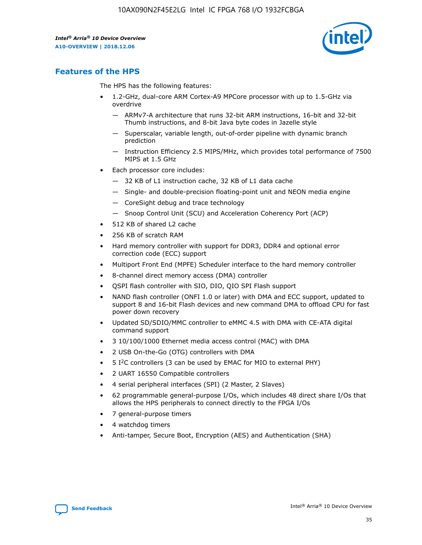

## **Features of the HPS**

The HPS has the following features:

- 1.2-GHz, dual-core ARM Cortex-A9 MPCore processor with up to 1.5-GHz via overdrive
	- ARMv7-A architecture that runs 32-bit ARM instructions, 16-bit and 32-bit Thumb instructions, and 8-bit Java byte codes in Jazelle style
	- Superscalar, variable length, out-of-order pipeline with dynamic branch prediction
	- Instruction Efficiency 2.5 MIPS/MHz, which provides total performance of 7500 MIPS at 1.5 GHz
- Each processor core includes:
	- 32 KB of L1 instruction cache, 32 KB of L1 data cache
	- Single- and double-precision floating-point unit and NEON media engine
	- CoreSight debug and trace technology
	- Snoop Control Unit (SCU) and Acceleration Coherency Port (ACP)
- 512 KB of shared L2 cache
- 256 KB of scratch RAM
- Hard memory controller with support for DDR3, DDR4 and optional error correction code (ECC) support
- Multiport Front End (MPFE) Scheduler interface to the hard memory controller
- 8-channel direct memory access (DMA) controller
- QSPI flash controller with SIO, DIO, QIO SPI Flash support
- NAND flash controller (ONFI 1.0 or later) with DMA and ECC support, updated to support 8 and 16-bit Flash devices and new command DMA to offload CPU for fast power down recovery
- Updated SD/SDIO/MMC controller to eMMC 4.5 with DMA with CE-ATA digital command support
- 3 10/100/1000 Ethernet media access control (MAC) with DMA
- 2 USB On-the-Go (OTG) controllers with DMA
- $\bullet$  5 I<sup>2</sup>C controllers (3 can be used by EMAC for MIO to external PHY)
- 2 UART 16550 Compatible controllers
- 4 serial peripheral interfaces (SPI) (2 Master, 2 Slaves)
- 62 programmable general-purpose I/Os, which includes 48 direct share I/Os that allows the HPS peripherals to connect directly to the FPGA I/Os
- 7 general-purpose timers
- 4 watchdog timers
- Anti-tamper, Secure Boot, Encryption (AES) and Authentication (SHA)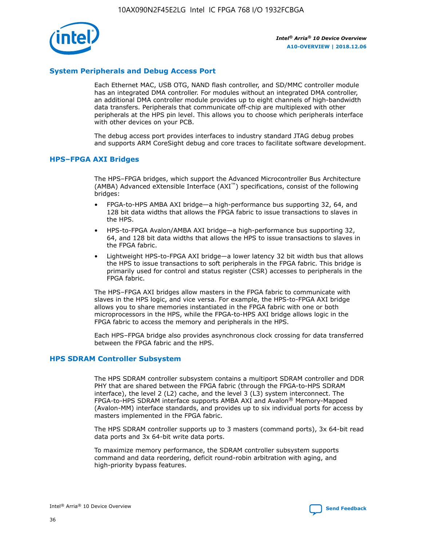

## **System Peripherals and Debug Access Port**

Each Ethernet MAC, USB OTG, NAND flash controller, and SD/MMC controller module has an integrated DMA controller. For modules without an integrated DMA controller, an additional DMA controller module provides up to eight channels of high-bandwidth data transfers. Peripherals that communicate off-chip are multiplexed with other peripherals at the HPS pin level. This allows you to choose which peripherals interface with other devices on your PCB.

The debug access port provides interfaces to industry standard JTAG debug probes and supports ARM CoreSight debug and core traces to facilitate software development.

## **HPS–FPGA AXI Bridges**

The HPS–FPGA bridges, which support the Advanced Microcontroller Bus Architecture (AMBA) Advanced eXtensible Interface (AXI™) specifications, consist of the following bridges:

- FPGA-to-HPS AMBA AXI bridge—a high-performance bus supporting 32, 64, and 128 bit data widths that allows the FPGA fabric to issue transactions to slaves in the HPS.
- HPS-to-FPGA Avalon/AMBA AXI bridge—a high-performance bus supporting 32, 64, and 128 bit data widths that allows the HPS to issue transactions to slaves in the FPGA fabric.
- Lightweight HPS-to-FPGA AXI bridge—a lower latency 32 bit width bus that allows the HPS to issue transactions to soft peripherals in the FPGA fabric. This bridge is primarily used for control and status register (CSR) accesses to peripherals in the FPGA fabric.

The HPS–FPGA AXI bridges allow masters in the FPGA fabric to communicate with slaves in the HPS logic, and vice versa. For example, the HPS-to-FPGA AXI bridge allows you to share memories instantiated in the FPGA fabric with one or both microprocessors in the HPS, while the FPGA-to-HPS AXI bridge allows logic in the FPGA fabric to access the memory and peripherals in the HPS.

Each HPS–FPGA bridge also provides asynchronous clock crossing for data transferred between the FPGA fabric and the HPS.

## **HPS SDRAM Controller Subsystem**

The HPS SDRAM controller subsystem contains a multiport SDRAM controller and DDR PHY that are shared between the FPGA fabric (through the FPGA-to-HPS SDRAM interface), the level 2 (L2) cache, and the level 3 (L3) system interconnect. The FPGA-to-HPS SDRAM interface supports AMBA AXI and Avalon® Memory-Mapped (Avalon-MM) interface standards, and provides up to six individual ports for access by masters implemented in the FPGA fabric.

The HPS SDRAM controller supports up to 3 masters (command ports), 3x 64-bit read data ports and 3x 64-bit write data ports.

To maximize memory performance, the SDRAM controller subsystem supports command and data reordering, deficit round-robin arbitration with aging, and high-priority bypass features.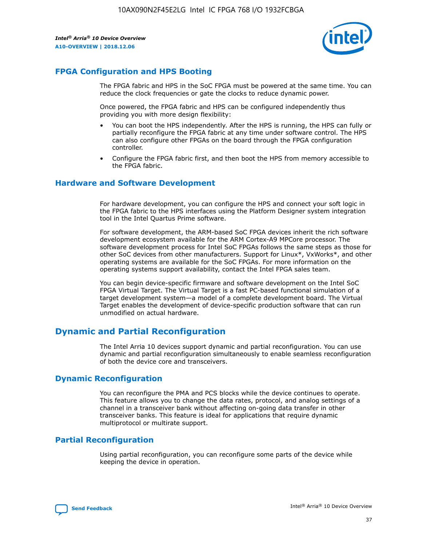

## **FPGA Configuration and HPS Booting**

The FPGA fabric and HPS in the SoC FPGA must be powered at the same time. You can reduce the clock frequencies or gate the clocks to reduce dynamic power.

Once powered, the FPGA fabric and HPS can be configured independently thus providing you with more design flexibility:

- You can boot the HPS independently. After the HPS is running, the HPS can fully or partially reconfigure the FPGA fabric at any time under software control. The HPS can also configure other FPGAs on the board through the FPGA configuration controller.
- Configure the FPGA fabric first, and then boot the HPS from memory accessible to the FPGA fabric.

## **Hardware and Software Development**

For hardware development, you can configure the HPS and connect your soft logic in the FPGA fabric to the HPS interfaces using the Platform Designer system integration tool in the Intel Quartus Prime software.

For software development, the ARM-based SoC FPGA devices inherit the rich software development ecosystem available for the ARM Cortex-A9 MPCore processor. The software development process for Intel SoC FPGAs follows the same steps as those for other SoC devices from other manufacturers. Support for Linux\*, VxWorks\*, and other operating systems are available for the SoC FPGAs. For more information on the operating systems support availability, contact the Intel FPGA sales team.

You can begin device-specific firmware and software development on the Intel SoC FPGA Virtual Target. The Virtual Target is a fast PC-based functional simulation of a target development system—a model of a complete development board. The Virtual Target enables the development of device-specific production software that can run unmodified on actual hardware.

## **Dynamic and Partial Reconfiguration**

The Intel Arria 10 devices support dynamic and partial reconfiguration. You can use dynamic and partial reconfiguration simultaneously to enable seamless reconfiguration of both the device core and transceivers.

## **Dynamic Reconfiguration**

You can reconfigure the PMA and PCS blocks while the device continues to operate. This feature allows you to change the data rates, protocol, and analog settings of a channel in a transceiver bank without affecting on-going data transfer in other transceiver banks. This feature is ideal for applications that require dynamic multiprotocol or multirate support.

## **Partial Reconfiguration**

Using partial reconfiguration, you can reconfigure some parts of the device while keeping the device in operation.

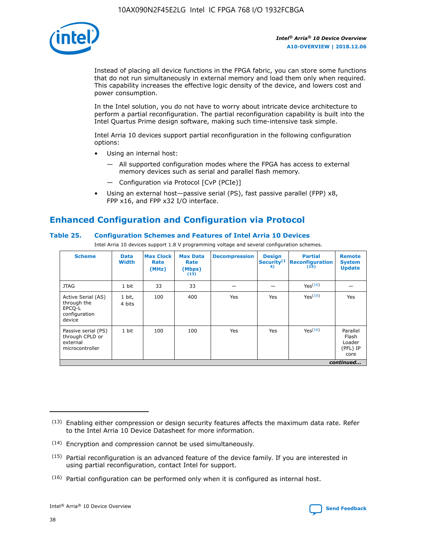

Instead of placing all device functions in the FPGA fabric, you can store some functions that do not run simultaneously in external memory and load them only when required. This capability increases the effective logic density of the device, and lowers cost and power consumption.

In the Intel solution, you do not have to worry about intricate device architecture to perform a partial reconfiguration. The partial reconfiguration capability is built into the Intel Quartus Prime design software, making such time-intensive task simple.

Intel Arria 10 devices support partial reconfiguration in the following configuration options:

- Using an internal host:
	- All supported configuration modes where the FPGA has access to external memory devices such as serial and parallel flash memory.
	- Configuration via Protocol [CvP (PCIe)]
- Using an external host—passive serial (PS), fast passive parallel (FPP) x8, FPP x16, and FPP x32 I/O interface.

## **Enhanced Configuration and Configuration via Protocol**

## **Table 25. Configuration Schemes and Features of Intel Arria 10 Devices**

Intel Arria 10 devices support 1.8 V programming voltage and several configuration schemes.

| <b>Scheme</b>                                                          | <b>Data</b><br><b>Width</b> | <b>Max Clock</b><br>Rate<br>(MHz) | <b>Max Data</b><br>Rate<br>(Mbps)<br>(13) | <b>Decompression</b> | <b>Design</b><br>Security <sup>(1</sup><br>4) | <b>Partial</b><br>Reconfiguration<br>(15) | <b>Remote</b><br><b>System</b><br><b>Update</b> |
|------------------------------------------------------------------------|-----------------------------|-----------------------------------|-------------------------------------------|----------------------|-----------------------------------------------|-------------------------------------------|-------------------------------------------------|
| <b>JTAG</b>                                                            | 1 bit                       | 33                                | 33                                        |                      |                                               | Yes <sup>(16)</sup>                       |                                                 |
| Active Serial (AS)<br>through the<br>EPCO-L<br>configuration<br>device | 1 bit,<br>4 bits            | 100                               | 400                                       | Yes                  | Yes                                           | $Y_{PS}(16)$                              | Yes                                             |
| Passive serial (PS)<br>through CPLD or<br>external<br>microcontroller  | 1 bit                       | 100                               | 100                                       | Yes                  | Yes                                           | Yes(16)                                   | Parallel<br>Flash<br>Loader<br>(PFL) IP<br>core |
|                                                                        |                             |                                   |                                           |                      |                                               |                                           | continued                                       |

<sup>(13)</sup> Enabling either compression or design security features affects the maximum data rate. Refer to the Intel Arria 10 Device Datasheet for more information.

<sup>(14)</sup> Encryption and compression cannot be used simultaneously.

 $<sup>(15)</sup>$  Partial reconfiguration is an advanced feature of the device family. If you are interested in</sup> using partial reconfiguration, contact Intel for support.

 $(16)$  Partial configuration can be performed only when it is configured as internal host.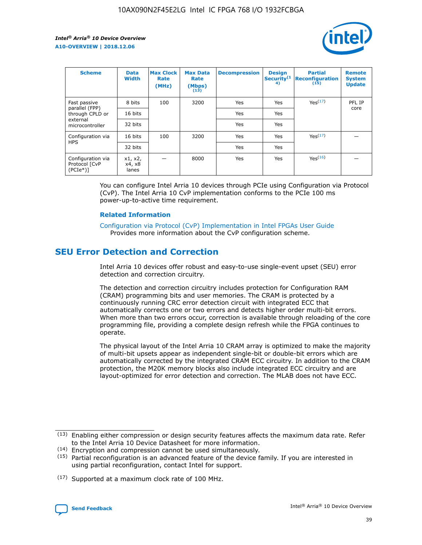

| <b>Scheme</b>                                    | <b>Data</b><br><b>Width</b> | <b>Max Clock</b><br>Rate<br>(MHz) | <b>Max Data</b><br>Rate<br>(Mbps)<br>(13) | <b>Decompression</b> | <b>Design</b><br>Security <sup>(1</sup><br>4) | <b>Partial</b><br><b>Reconfiguration</b><br>(15) | <b>Remote</b><br><b>System</b><br><b>Update</b> |
|--------------------------------------------------|-----------------------------|-----------------------------------|-------------------------------------------|----------------------|-----------------------------------------------|--------------------------------------------------|-------------------------------------------------|
| Fast passive                                     | 8 bits                      | 100                               | 3200                                      | Yes                  | Yes                                           | Yes(17)                                          | PFL IP                                          |
| parallel (FPP)<br>through CPLD or                | 16 bits                     |                                   |                                           | Yes                  | Yes                                           |                                                  | core                                            |
| external<br>microcontroller                      | 32 bits                     |                                   |                                           | Yes                  | Yes                                           |                                                  |                                                 |
| Configuration via                                | 16 bits                     | 100                               | 3200                                      | Yes                  | Yes                                           | Yes <sup>(17)</sup>                              |                                                 |
| <b>HPS</b>                                       | 32 bits                     |                                   |                                           | Yes                  | Yes                                           |                                                  |                                                 |
| Configuration via<br>Protocol [CvP<br>$(PCIe^*)$ | x1, x2,<br>x4, x8<br>lanes  |                                   | 8000                                      | Yes                  | Yes                                           | Yes(16)                                          |                                                 |

You can configure Intel Arria 10 devices through PCIe using Configuration via Protocol (CvP). The Intel Arria 10 CvP implementation conforms to the PCIe 100 ms power-up-to-active time requirement.

#### **Related Information**

[Configuration via Protocol \(CvP\) Implementation in Intel FPGAs User Guide](https://www.intel.com/content/www/us/en/programmable/documentation/dsu1441819344145.html#dsu1442269728522) Provides more information about the CvP configuration scheme.

## **SEU Error Detection and Correction**

Intel Arria 10 devices offer robust and easy-to-use single-event upset (SEU) error detection and correction circuitry.

The detection and correction circuitry includes protection for Configuration RAM (CRAM) programming bits and user memories. The CRAM is protected by a continuously running CRC error detection circuit with integrated ECC that automatically corrects one or two errors and detects higher order multi-bit errors. When more than two errors occur, correction is available through reloading of the core programming file, providing a complete design refresh while the FPGA continues to operate.

The physical layout of the Intel Arria 10 CRAM array is optimized to make the majority of multi-bit upsets appear as independent single-bit or double-bit errors which are automatically corrected by the integrated CRAM ECC circuitry. In addition to the CRAM protection, the M20K memory blocks also include integrated ECC circuitry and are layout-optimized for error detection and correction. The MLAB does not have ECC.

(14) Encryption and compression cannot be used simultaneously.

<sup>(17)</sup> Supported at a maximum clock rate of 100 MHz.



 $(13)$  Enabling either compression or design security features affects the maximum data rate. Refer to the Intel Arria 10 Device Datasheet for more information.

 $(15)$  Partial reconfiguration is an advanced feature of the device family. If you are interested in using partial reconfiguration, contact Intel for support.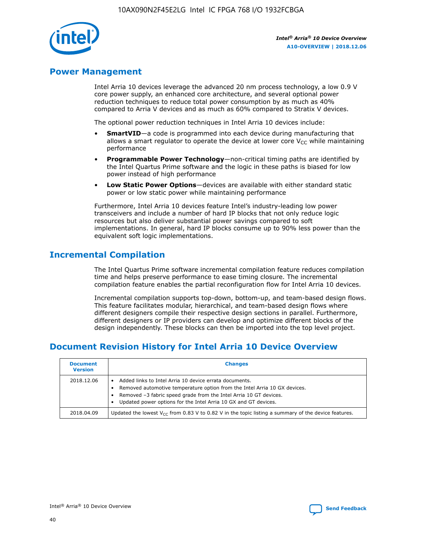

## **Power Management**

Intel Arria 10 devices leverage the advanced 20 nm process technology, a low 0.9 V core power supply, an enhanced core architecture, and several optional power reduction techniques to reduce total power consumption by as much as 40% compared to Arria V devices and as much as 60% compared to Stratix V devices.

The optional power reduction techniques in Intel Arria 10 devices include:

- **SmartVID**—a code is programmed into each device during manufacturing that allows a smart regulator to operate the device at lower core  $V_{CC}$  while maintaining performance
- **Programmable Power Technology**—non-critical timing paths are identified by the Intel Quartus Prime software and the logic in these paths is biased for low power instead of high performance
- **Low Static Power Options**—devices are available with either standard static power or low static power while maintaining performance

Furthermore, Intel Arria 10 devices feature Intel's industry-leading low power transceivers and include a number of hard IP blocks that not only reduce logic resources but also deliver substantial power savings compared to soft implementations. In general, hard IP blocks consume up to 90% less power than the equivalent soft logic implementations.

## **Incremental Compilation**

The Intel Quartus Prime software incremental compilation feature reduces compilation time and helps preserve performance to ease timing closure. The incremental compilation feature enables the partial reconfiguration flow for Intel Arria 10 devices.

Incremental compilation supports top-down, bottom-up, and team-based design flows. This feature facilitates modular, hierarchical, and team-based design flows where different designers compile their respective design sections in parallel. Furthermore, different designers or IP providers can develop and optimize different blocks of the design independently. These blocks can then be imported into the top level project.

## **Document Revision History for Intel Arria 10 Device Overview**

| <b>Document</b><br><b>Version</b> | <b>Changes</b>                                                                                                                                                                                                                                                              |
|-----------------------------------|-----------------------------------------------------------------------------------------------------------------------------------------------------------------------------------------------------------------------------------------------------------------------------|
| 2018.12.06                        | Added links to Intel Arria 10 device errata documents.<br>Removed automotive temperature option from the Intel Arria 10 GX devices.<br>Removed -3 fabric speed grade from the Intel Arria 10 GT devices.<br>Updated power options for the Intel Arria 10 GX and GT devices. |
| 2018.04.09                        | Updated the lowest $V_{CC}$ from 0.83 V to 0.82 V in the topic listing a summary of the device features.                                                                                                                                                                    |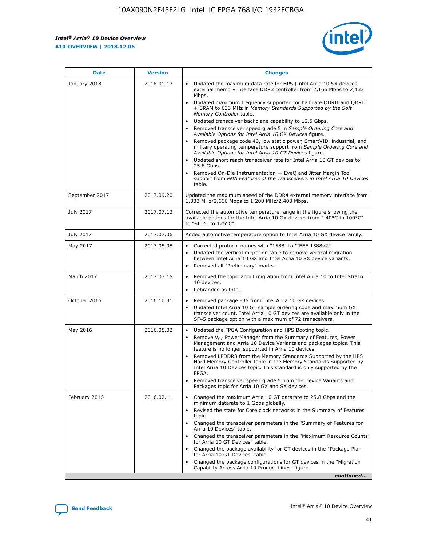

| <b>Date</b>    | <b>Version</b> | <b>Changes</b>                                                                                                                                                                                                                                                                                                                                                                                                                                                                                                                                                                                                                                                                                                                                                                                                                                                                                                                                               |
|----------------|----------------|--------------------------------------------------------------------------------------------------------------------------------------------------------------------------------------------------------------------------------------------------------------------------------------------------------------------------------------------------------------------------------------------------------------------------------------------------------------------------------------------------------------------------------------------------------------------------------------------------------------------------------------------------------------------------------------------------------------------------------------------------------------------------------------------------------------------------------------------------------------------------------------------------------------------------------------------------------------|
| January 2018   | 2018.01.17     | Updated the maximum data rate for HPS (Intel Arria 10 SX devices<br>external memory interface DDR3 controller from 2,166 Mbps to 2,133<br>Mbps.<br>Updated maximum frequency supported for half rate QDRII and QDRII<br>+ SRAM to 633 MHz in Memory Standards Supported by the Soft<br>Memory Controller table.<br>Updated transceiver backplane capability to 12.5 Gbps.<br>Removed transceiver speed grade 5 in Sample Ordering Core and<br>Available Options for Intel Arria 10 GX Devices figure.<br>Removed package code 40, low static power, SmartVID, industrial, and<br>military operating temperature support from Sample Ordering Core and<br>Available Options for Intel Arria 10 GT Devices figure.<br>Updated short reach transceiver rate for Intel Arria 10 GT devices to<br>25.8 Gbps.<br>Removed On-Die Instrumentation - EyeQ and Jitter Margin Tool<br>support from PMA Features of the Transceivers in Intel Arria 10 Devices<br>table. |
| September 2017 | 2017.09.20     | Updated the maximum speed of the DDR4 external memory interface from<br>1,333 MHz/2,666 Mbps to 1,200 MHz/2,400 Mbps.                                                                                                                                                                                                                                                                                                                                                                                                                                                                                                                                                                                                                                                                                                                                                                                                                                        |
| July 2017      | 2017.07.13     | Corrected the automotive temperature range in the figure showing the<br>available options for the Intel Arria 10 GX devices from "-40°C to 100°C"<br>to "-40°C to 125°C".                                                                                                                                                                                                                                                                                                                                                                                                                                                                                                                                                                                                                                                                                                                                                                                    |
| July 2017      | 2017.07.06     | Added automotive temperature option to Intel Arria 10 GX device family.                                                                                                                                                                                                                                                                                                                                                                                                                                                                                                                                                                                                                                                                                                                                                                                                                                                                                      |
| May 2017       | 2017.05.08     | Corrected protocol names with "1588" to "IEEE 1588v2".<br>$\bullet$<br>Updated the vertical migration table to remove vertical migration<br>$\bullet$<br>between Intel Arria 10 GX and Intel Arria 10 SX device variants.<br>Removed all "Preliminary" marks.<br>$\bullet$                                                                                                                                                                                                                                                                                                                                                                                                                                                                                                                                                                                                                                                                                   |
| March 2017     | 2017.03.15     | Removed the topic about migration from Intel Arria 10 to Intel Stratix<br>$\bullet$<br>10 devices.<br>Rebranded as Intel.<br>$\bullet$                                                                                                                                                                                                                                                                                                                                                                                                                                                                                                                                                                                                                                                                                                                                                                                                                       |
| October 2016   | 2016.10.31     | Removed package F36 from Intel Arria 10 GX devices.<br>Updated Intel Arria 10 GT sample ordering code and maximum GX<br>$\bullet$<br>transceiver count. Intel Arria 10 GT devices are available only in the<br>SF45 package option with a maximum of 72 transceivers.                                                                                                                                                                                                                                                                                                                                                                                                                                                                                                                                                                                                                                                                                        |
| May 2016       | 2016.05.02     | Updated the FPGA Configuration and HPS Booting topic.<br>$\bullet$<br>Remove V <sub>CC</sub> PowerManager from the Summary of Features, Power<br>Management and Arria 10 Device Variants and packages topics. This<br>feature is no longer supported in Arria 10 devices.<br>Removed LPDDR3 from the Memory Standards Supported by the HPS<br>Hard Memory Controller table in the Memory Standards Supported by<br>Intel Arria 10 Devices topic. This standard is only supported by the<br><b>FPGA</b><br>Removed transceiver speed grade 5 from the Device Variants and<br>Packages topic for Arria 10 GX and SX devices.                                                                                                                                                                                                                                                                                                                                   |
| February 2016  | 2016.02.11     | Changed the maximum Arria 10 GT datarate to 25.8 Gbps and the<br>$\bullet$<br>minimum datarate to 1 Gbps globally.<br>Revised the state for Core clock networks in the Summary of Features<br>$\bullet$<br>topic.<br>Changed the transceiver parameters in the "Summary of Features for<br>$\bullet$<br>Arria 10 Devices" table.<br>Changed the transceiver parameters in the "Maximum Resource Counts<br>for Arria 10 GT Devices" table.<br>Changed the package availability for GT devices in the "Package Plan<br>for Arria 10 GT Devices" table.<br>Changed the package configurations for GT devices in the "Migration"<br>Capability Across Arria 10 Product Lines" figure.<br>continued                                                                                                                                                                                                                                                               |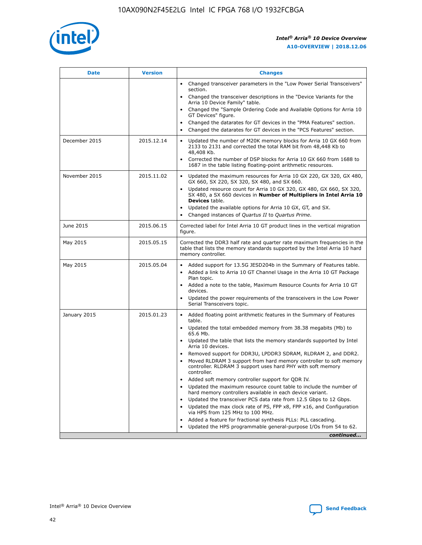

| <b>Date</b>   | <b>Version</b> | <b>Changes</b>                                                                                                                                                               |
|---------------|----------------|------------------------------------------------------------------------------------------------------------------------------------------------------------------------------|
|               |                | • Changed transceiver parameters in the "Low Power Serial Transceivers"<br>section.                                                                                          |
|               |                | • Changed the transceiver descriptions in the "Device Variants for the<br>Arria 10 Device Family" table.                                                                     |
|               |                | Changed the "Sample Ordering Code and Available Options for Arria 10<br>$\bullet$<br>GT Devices" figure.                                                                     |
|               |                | Changed the datarates for GT devices in the "PMA Features" section.                                                                                                          |
|               |                | Changed the datarates for GT devices in the "PCS Features" section.<br>$\bullet$                                                                                             |
| December 2015 | 2015.12.14     | Updated the number of M20K memory blocks for Arria 10 GX 660 from<br>2133 to 2131 and corrected the total RAM bit from 48,448 Kb to<br>48,408 Kb.                            |
|               |                | Corrected the number of DSP blocks for Arria 10 GX 660 from 1688 to<br>1687 in the table listing floating-point arithmetic resources.                                        |
| November 2015 | 2015.11.02     | Updated the maximum resources for Arria 10 GX 220, GX 320, GX 480,<br>$\bullet$<br>GX 660, SX 220, SX 320, SX 480, and SX 660.                                               |
|               |                | • Updated resource count for Arria 10 GX 320, GX 480, GX 660, SX 320,<br>SX 480, a SX 660 devices in Number of Multipliers in Intel Arria 10<br><b>Devices</b> table.        |
|               |                | Updated the available options for Arria 10 GX, GT, and SX.                                                                                                                   |
|               |                | Changed instances of Quartus II to Quartus Prime.<br>$\bullet$                                                                                                               |
| June 2015     | 2015.06.15     | Corrected label for Intel Arria 10 GT product lines in the vertical migration<br>figure.                                                                                     |
| May 2015      | 2015.05.15     | Corrected the DDR3 half rate and quarter rate maximum frequencies in the<br>table that lists the memory standards supported by the Intel Arria 10 hard<br>memory controller. |
| May 2015      | 2015.05.04     | • Added support for 13.5G JESD204b in the Summary of Features table.<br>• Added a link to Arria 10 GT Channel Usage in the Arria 10 GT Package<br>Plan topic.                |
|               |                | • Added a note to the table, Maximum Resource Counts for Arria 10 GT<br>devices.                                                                                             |
|               |                | • Updated the power requirements of the transceivers in the Low Power<br>Serial Transceivers topic.                                                                          |
| January 2015  | 2015.01.23     | • Added floating point arithmetic features in the Summary of Features<br>table.                                                                                              |
|               |                | • Updated the total embedded memory from 38.38 megabits (Mb) to<br>65.6 Mb.                                                                                                  |
|               |                | • Updated the table that lists the memory standards supported by Intel<br>Arria 10 devices.                                                                                  |
|               |                | Removed support for DDR3U, LPDDR3 SDRAM, RLDRAM 2, and DDR2.                                                                                                                 |
|               |                | Moved RLDRAM 3 support from hard memory controller to soft memory<br>controller. RLDRAM 3 support uses hard PHY with soft memory<br>controller.                              |
|               |                | Added soft memory controller support for QDR IV.<br>٠                                                                                                                        |
|               |                | Updated the maximum resource count table to include the number of<br>hard memory controllers available in each device variant.                                               |
|               |                | Updated the transceiver PCS data rate from 12.5 Gbps to 12 Gbps.<br>$\bullet$                                                                                                |
|               |                | Updated the max clock rate of PS, FPP x8, FPP x16, and Configuration<br>via HPS from 125 MHz to 100 MHz.                                                                     |
|               |                | Added a feature for fractional synthesis PLLs: PLL cascading.                                                                                                                |
|               |                | Updated the HPS programmable general-purpose I/Os from 54 to 62.<br>$\bullet$<br>continued                                                                                   |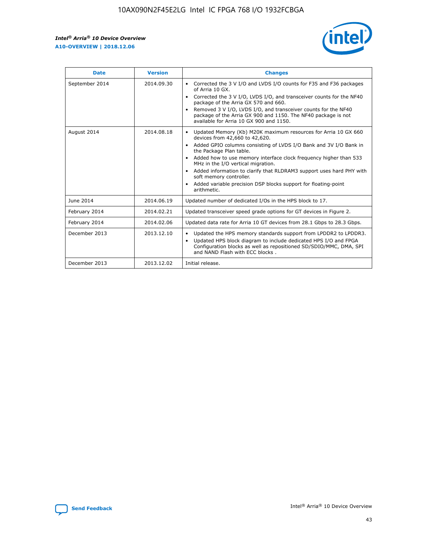

| <b>Date</b>    | <b>Version</b> | <b>Changes</b>                                                                                                                                                                                                                                                                                                                                                                                                                                                                                                                                      |
|----------------|----------------|-----------------------------------------------------------------------------------------------------------------------------------------------------------------------------------------------------------------------------------------------------------------------------------------------------------------------------------------------------------------------------------------------------------------------------------------------------------------------------------------------------------------------------------------------------|
| September 2014 | 2014.09.30     | Corrected the 3 V I/O and LVDS I/O counts for F35 and F36 packages<br>$\bullet$<br>of Arria 10 GX.<br>Corrected the 3 V I/O, LVDS I/O, and transceiver counts for the NF40<br>$\bullet$<br>package of the Arria GX 570 and 660.<br>Removed 3 V I/O, LVDS I/O, and transceiver counts for the NF40<br>$\bullet$<br>package of the Arria GX 900 and 1150. The NF40 package is not<br>available for Arria 10 GX 900 and 1150.                                                                                                                          |
| August 2014    | 2014.08.18     | Updated Memory (Kb) M20K maximum resources for Arria 10 GX 660<br>devices from 42,660 to 42,620.<br>Added GPIO columns consisting of LVDS I/O Bank and 3V I/O Bank in<br>$\bullet$<br>the Package Plan table.<br>Added how to use memory interface clock frequency higher than 533<br>$\bullet$<br>MHz in the I/O vertical migration.<br>Added information to clarify that RLDRAM3 support uses hard PHY with<br>$\bullet$<br>soft memory controller.<br>Added variable precision DSP blocks support for floating-point<br>$\bullet$<br>arithmetic. |
| June 2014      | 2014.06.19     | Updated number of dedicated I/Os in the HPS block to 17.                                                                                                                                                                                                                                                                                                                                                                                                                                                                                            |
| February 2014  | 2014.02.21     | Updated transceiver speed grade options for GT devices in Figure 2.                                                                                                                                                                                                                                                                                                                                                                                                                                                                                 |
| February 2014  | 2014.02.06     | Updated data rate for Arria 10 GT devices from 28.1 Gbps to 28.3 Gbps.                                                                                                                                                                                                                                                                                                                                                                                                                                                                              |
| December 2013  | 2013.12.10     | Updated the HPS memory standards support from LPDDR2 to LPDDR3.<br>Updated HPS block diagram to include dedicated HPS I/O and FPGA<br>$\bullet$<br>Configuration blocks as well as repositioned SD/SDIO/MMC, DMA, SPI<br>and NAND Flash with ECC blocks.                                                                                                                                                                                                                                                                                            |
| December 2013  | 2013.12.02     | Initial release.                                                                                                                                                                                                                                                                                                                                                                                                                                                                                                                                    |